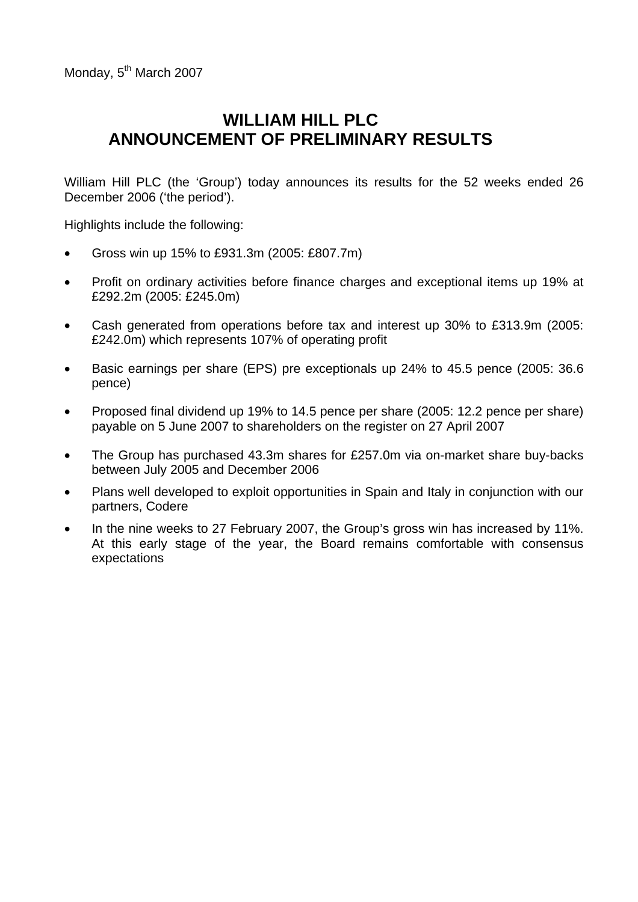# **WILLIAM HILL PLC ANNOUNCEMENT OF PRELIMINARY RESULTS**

William Hill PLC (the 'Group') today announces its results for the 52 weeks ended 26 December 2006 ('the period').

Highlights include the following:

- Gross win up 15% to £931.3m (2005: £807.7m)
- Profit on ordinary activities before finance charges and exceptional items up 19% at £292.2m (2005: £245.0m)
- Cash generated from operations before tax and interest up 30% to £313.9m (2005: £242.0m) which represents 107% of operating profit
- Basic earnings per share (EPS) pre exceptionals up 24% to 45.5 pence (2005: 36.6 pence)
- Proposed final dividend up 19% to 14.5 pence per share (2005: 12.2 pence per share) payable on 5 June 2007 to shareholders on the register on 27 April 2007
- The Group has purchased 43.3m shares for £257.0m via on-market share buy-backs between July 2005 and December 2006
- Plans well developed to exploit opportunities in Spain and Italy in conjunction with our partners, Codere
- In the nine weeks to 27 February 2007, the Group's gross win has increased by 11%. At this early stage of the year, the Board remains comfortable with consensus expectations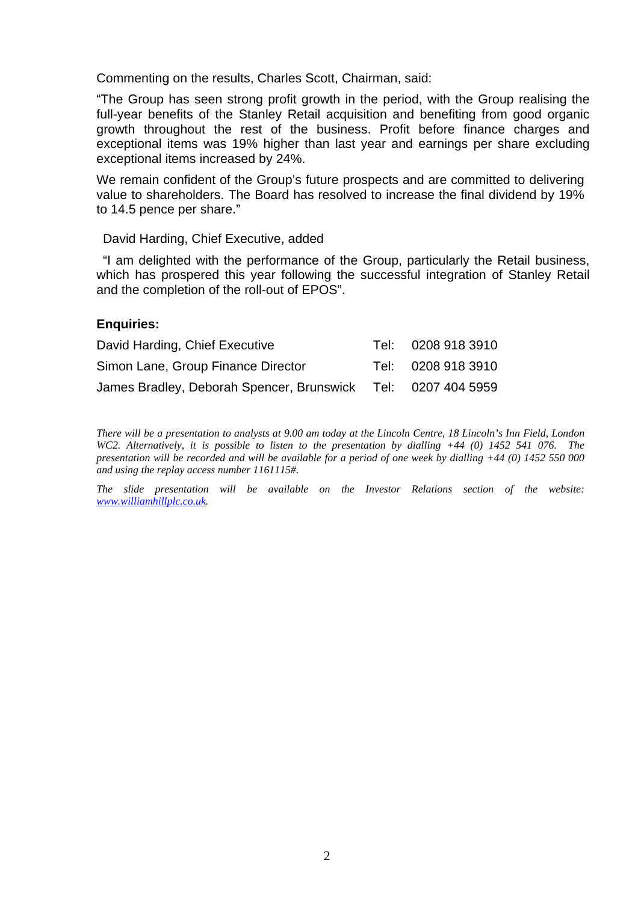Commenting on the results, Charles Scott, Chairman, said:

"The Group has seen strong profit growth in the period, with the Group realising the full-year benefits of the Stanley Retail acquisition and benefiting from good organic growth throughout the rest of the business. Profit before finance charges and exceptional items was 19% higher than last year and earnings per share excluding exceptional items increased by 24%.

We remain confident of the Group's future prospects and are committed to delivering value to shareholders. The Board has resolved to increase the final dividend by 19% to 14.5 pence per share."

David Harding, Chief Executive, added

 "I am delighted with the performance of the Group, particularly the Retail business, which has prospered this year following the successful integration of Stanley Retail and the completion of the roll-out of EPOS".

### **Enquiries:**

| David Harding, Chief Executive                               | Tel: 0208 918 3910 |
|--------------------------------------------------------------|--------------------|
| Simon Lane, Group Finance Director                           | Tel: 0208 918 3910 |
| James Bradley, Deborah Spencer, Brunswick Tel: 0207 404 5959 |                    |

*There will be a presentation to analysts at 9.00 am today at the Lincoln Centre, 18 Lincoln's Inn Field, London WC2. Alternatively, it is possible to listen to the presentation by dialling +44 (0) 1452 541 076. The presentation will be recorded and will be available for a period of one week by dialling +44 (0) 1452 550 000 and using the replay access number 1161115#.* 

*The slide presentation will be available on the Investor Relations section of the website: [www.williamhillplc.co.uk.](http://www.williamhillplc.co.uk/)*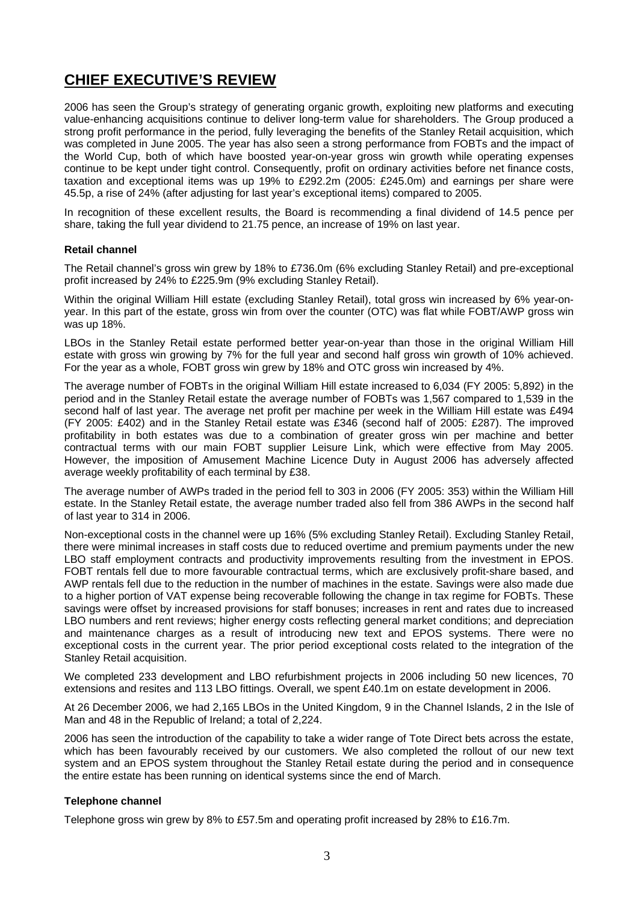# **CHIEF EXECUTIVE'S REVIEW**

2006 has seen the Group's strategy of generating organic growth, exploiting new platforms and executing value-enhancing acquisitions continue to deliver long-term value for shareholders. The Group produced a strong profit performance in the period, fully leveraging the benefits of the Stanley Retail acquisition, which was completed in June 2005. The year has also seen a strong performance from FOBTs and the impact of the World Cup, both of which have boosted year-on-year gross win growth while operating expenses continue to be kept under tight control. Consequently, profit on ordinary activities before net finance costs, taxation and exceptional items was up 19% to £292.2m (2005: £245.0m) and earnings per share were 45.5p, a rise of 24% (after adjusting for last year's exceptional items) compared to 2005.

In recognition of these excellent results, the Board is recommending a final dividend of 14.5 pence per share, taking the full year dividend to 21.75 pence, an increase of 19% on last year.

#### **Retail channel**

The Retail channel's gross win grew by 18% to £736.0m (6% excluding Stanley Retail) and pre-exceptional profit increased by 24% to £225.9m (9% excluding Stanley Retail).

Within the original William Hill estate (excluding Stanley Retail), total gross win increased by 6% year-onyear. In this part of the estate, gross win from over the counter (OTC) was flat while FOBT/AWP gross win was up 18%.

LBOs in the Stanley Retail estate performed better year-on-year than those in the original William Hill estate with gross win growing by 7% for the full year and second half gross win growth of 10% achieved. For the year as a whole, FOBT gross win grew by 18% and OTC gross win increased by 4%.

The average number of FOBTs in the original William Hill estate increased to 6,034 (FY 2005: 5,892) in the period and in the Stanley Retail estate the average number of FOBTs was 1,567 compared to 1,539 in the second half of last year. The average net profit per machine per week in the William Hill estate was £494 (FY 2005: £402) and in the Stanley Retail estate was £346 (second half of 2005: £287). The improved profitability in both estates was due to a combination of greater gross win per machine and better contractual terms with our main FOBT supplier Leisure Link, which were effective from May 2005. However, the imposition of Amusement Machine Licence Duty in August 2006 has adversely affected average weekly profitability of each terminal by £38.

The average number of AWPs traded in the period fell to 303 in 2006 (FY 2005: 353) within the William Hill estate. In the Stanley Retail estate, the average number traded also fell from 386 AWPs in the second half of last year to 314 in 2006.

Non-exceptional costs in the channel were up 16% (5% excluding Stanley Retail). Excluding Stanley Retail, there were minimal increases in staff costs due to reduced overtime and premium payments under the new LBO staff employment contracts and productivity improvements resulting from the investment in EPOS. FOBT rentals fell due to more favourable contractual terms, which are exclusively profit-share based, and AWP rentals fell due to the reduction in the number of machines in the estate. Savings were also made due to a higher portion of VAT expense being recoverable following the change in tax regime for FOBTs. These savings were offset by increased provisions for staff bonuses; increases in rent and rates due to increased LBO numbers and rent reviews; higher energy costs reflecting general market conditions; and depreciation and maintenance charges as a result of introducing new text and EPOS systems. There were no exceptional costs in the current year. The prior period exceptional costs related to the integration of the Stanley Retail acquisition.

We completed 233 development and LBO refurbishment projects in 2006 including 50 new licences, 70 extensions and resites and 113 LBO fittings. Overall, we spent £40.1m on estate development in 2006.

At 26 December 2006, we had 2,165 LBOs in the United Kingdom, 9 in the Channel Islands, 2 in the Isle of Man and 48 in the Republic of Ireland; a total of 2,224.

2006 has seen the introduction of the capability to take a wider range of Tote Direct bets across the estate, which has been favourably received by our customers. We also completed the rollout of our new text system and an EPOS system throughout the Stanley Retail estate during the period and in consequence the entire estate has been running on identical systems since the end of March.

### **Telephone channel**

Telephone gross win grew by 8% to £57.5m and operating profit increased by 28% to £16.7m.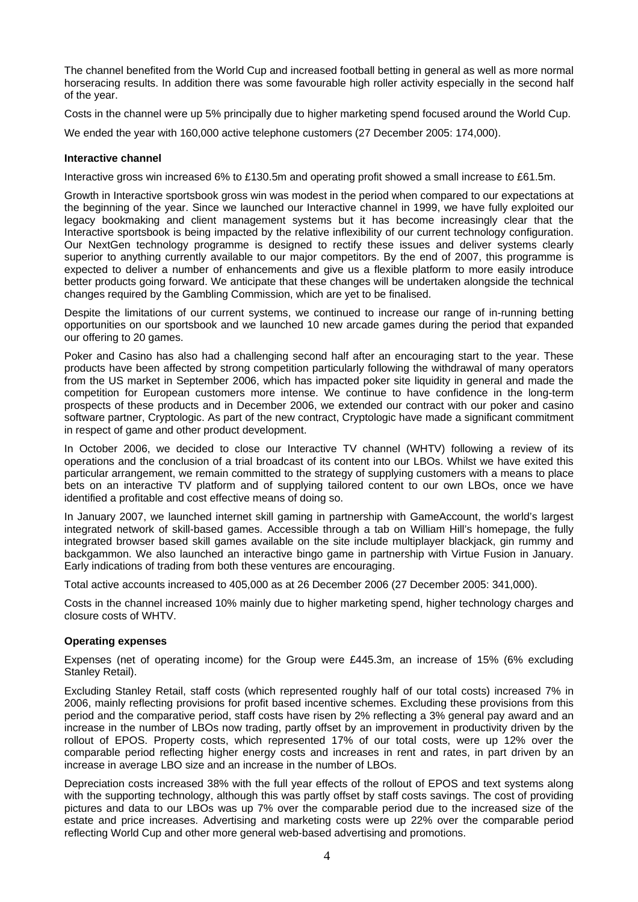The channel benefited from the World Cup and increased football betting in general as well as more normal horseracing results. In addition there was some favourable high roller activity especially in the second half of the year.

Costs in the channel were up 5% principally due to higher marketing spend focused around the World Cup.

We ended the year with 160,000 active telephone customers (27 December 2005: 174,000).

#### **Interactive channel**

Interactive gross win increased 6% to £130.5m and operating profit showed a small increase to £61.5m.

Growth in Interactive sportsbook gross win was modest in the period when compared to our expectations at the beginning of the year. Since we launched our Interactive channel in 1999, we have fully exploited our legacy bookmaking and client management systems but it has become increasingly clear that the Interactive sportsbook is being impacted by the relative inflexibility of our current technology configuration. Our NextGen technology programme is designed to rectify these issues and deliver systems clearly superior to anything currently available to our major competitors. By the end of 2007, this programme is expected to deliver a number of enhancements and give us a flexible platform to more easily introduce better products going forward. We anticipate that these changes will be undertaken alongside the technical changes required by the Gambling Commission, which are yet to be finalised.

Despite the limitations of our current systems, we continued to increase our range of in-running betting opportunities on our sportsbook and we launched 10 new arcade games during the period that expanded our offering to 20 games.

Poker and Casino has also had a challenging second half after an encouraging start to the year. These products have been affected by strong competition particularly following the withdrawal of many operators from the US market in September 2006, which has impacted poker site liquidity in general and made the competition for European customers more intense. We continue to have confidence in the long-term prospects of these products and in December 2006, we extended our contract with our poker and casino software partner, Cryptologic. As part of the new contract, Cryptologic have made a significant commitment in respect of game and other product development.

In October 2006, we decided to close our Interactive TV channel (WHTV) following a review of its operations and the conclusion of a trial broadcast of its content into our LBOs. Whilst we have exited this particular arrangement, we remain committed to the strategy of supplying customers with a means to place bets on an interactive TV platform and of supplying tailored content to our own LBOs, once we have identified a profitable and cost effective means of doing so.

In January 2007, we launched internet skill gaming in partnership with GameAccount, the world's largest integrated network of skill-based games. Accessible through a tab on William Hill's homepage, the fully integrated browser based skill games available on the site include multiplayer blackjack, gin rummy and backgammon. We also launched an interactive bingo game in partnership with Virtue Fusion in January. Early indications of trading from both these ventures are encouraging.

Total active accounts increased to 405,000 as at 26 December 2006 (27 December 2005: 341,000).

Costs in the channel increased 10% mainly due to higher marketing spend, higher technology charges and closure costs of WHTV.

#### **Operating expenses**

Expenses (net of operating income) for the Group were £445.3m, an increase of 15% (6% excluding Stanley Retail).

Excluding Stanley Retail, staff costs (which represented roughly half of our total costs) increased 7% in 2006, mainly reflecting provisions for profit based incentive schemes. Excluding these provisions from this period and the comparative period, staff costs have risen by 2% reflecting a 3% general pay award and an increase in the number of LBOs now trading, partly offset by an improvement in productivity driven by the rollout of EPOS. Property costs, which represented 17% of our total costs, were up 12% over the comparable period reflecting higher energy costs and increases in rent and rates, in part driven by an increase in average LBO size and an increase in the number of LBOs.

Depreciation costs increased 38% with the full year effects of the rollout of EPOS and text systems along with the supporting technology, although this was partly offset by staff costs savings. The cost of providing pictures and data to our LBOs was up 7% over the comparable period due to the increased size of the estate and price increases. Advertising and marketing costs were up 22% over the comparable period reflecting World Cup and other more general web-based advertising and promotions.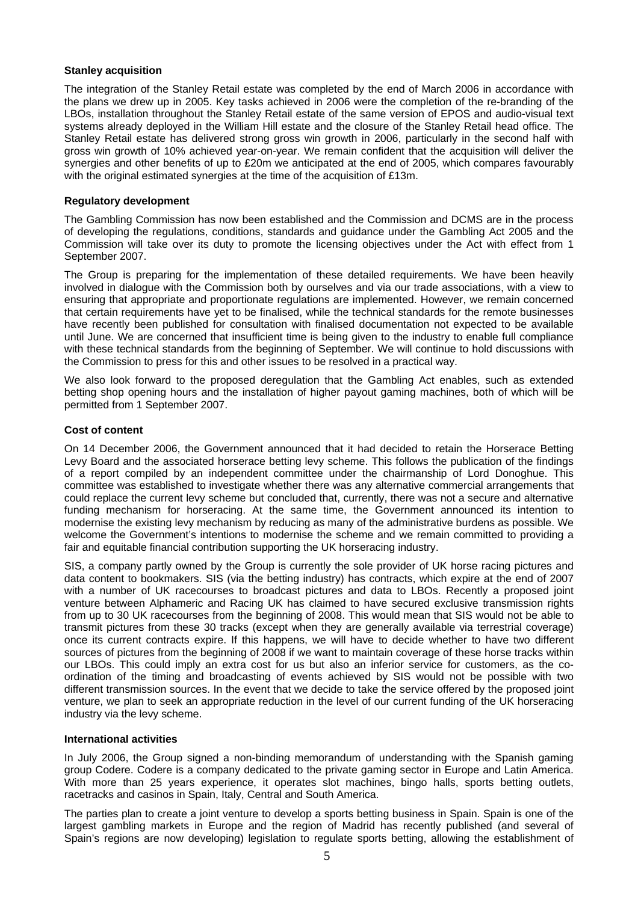#### **Stanley acquisition**

The integration of the Stanley Retail estate was completed by the end of March 2006 in accordance with the plans we drew up in 2005. Key tasks achieved in 2006 were the completion of the re-branding of the LBOs, installation throughout the Stanley Retail estate of the same version of EPOS and audio-visual text systems already deployed in the William Hill estate and the closure of the Stanley Retail head office. The Stanley Retail estate has delivered strong gross win growth in 2006, particularly in the second half with gross win growth of 10% achieved year-on-year. We remain confident that the acquisition will deliver the synergies and other benefits of up to £20m we anticipated at the end of 2005, which compares favourably with the original estimated synergies at the time of the acquisition of £13m.

#### **Regulatory development**

The Gambling Commission has now been established and the Commission and DCMS are in the process of developing the regulations, conditions, standards and guidance under the Gambling Act 2005 and the Commission will take over its duty to promote the licensing objectives under the Act with effect from 1 September 2007.

The Group is preparing for the implementation of these detailed requirements. We have been heavily involved in dialogue with the Commission both by ourselves and via our trade associations, with a view to ensuring that appropriate and proportionate regulations are implemented. However, we remain concerned that certain requirements have yet to be finalised, while the technical standards for the remote businesses have recently been published for consultation with finalised documentation not expected to be available until June. We are concerned that insufficient time is being given to the industry to enable full compliance with these technical standards from the beginning of September. We will continue to hold discussions with the Commission to press for this and other issues to be resolved in a practical way.

We also look forward to the proposed deregulation that the Gambling Act enables, such as extended betting shop opening hours and the installation of higher payout gaming machines, both of which will be permitted from 1 September 2007.

#### **Cost of content**

On 14 December 2006, the Government announced that it had decided to retain the Horserace Betting Levy Board and the associated horserace betting levy scheme. This follows the publication of the findings of a report compiled by an independent committee under the chairmanship of Lord Donoghue. This committee was established to investigate whether there was any alternative commercial arrangements that could replace the current levy scheme but concluded that, currently, there was not a secure and alternative funding mechanism for horseracing. At the same time, the Government announced its intention to modernise the existing levy mechanism by reducing as many of the administrative burdens as possible. We welcome the Government's intentions to modernise the scheme and we remain committed to providing a fair and equitable financial contribution supporting the UK horseracing industry.

SIS, a company partly owned by the Group is currently the sole provider of UK horse racing pictures and data content to bookmakers. SIS (via the betting industry) has contracts, which expire at the end of 2007 with a number of UK racecourses to broadcast pictures and data to LBOs. Recently a proposed joint venture between Alphameric and Racing UK has claimed to have secured exclusive transmission rights from up to 30 UK racecourses from the beginning of 2008. This would mean that SIS would not be able to transmit pictures from these 30 tracks (except when they are generally available via terrestrial coverage) once its current contracts expire. If this happens, we will have to decide whether to have two different sources of pictures from the beginning of 2008 if we want to maintain coverage of these horse tracks within our LBOs. This could imply an extra cost for us but also an inferior service for customers, as the coordination of the timing and broadcasting of events achieved by SIS would not be possible with two different transmission sources. In the event that we decide to take the service offered by the proposed joint venture, we plan to seek an appropriate reduction in the level of our current funding of the UK horseracing industry via the levy scheme.

#### **International activities**

In July 2006, the Group signed a non-binding memorandum of understanding with the Spanish gaming group Codere. Codere is a company dedicated to the private gaming sector in Europe and Latin America. With more than 25 years experience, it operates slot machines, bingo halls, sports betting outlets, racetracks and casinos in Spain, Italy, Central and South America.

The parties plan to create a joint venture to develop a sports betting business in Spain. Spain is one of the largest gambling markets in Europe and the region of Madrid has recently published (and several of Spain's regions are now developing) legislation to regulate sports betting, allowing the establishment of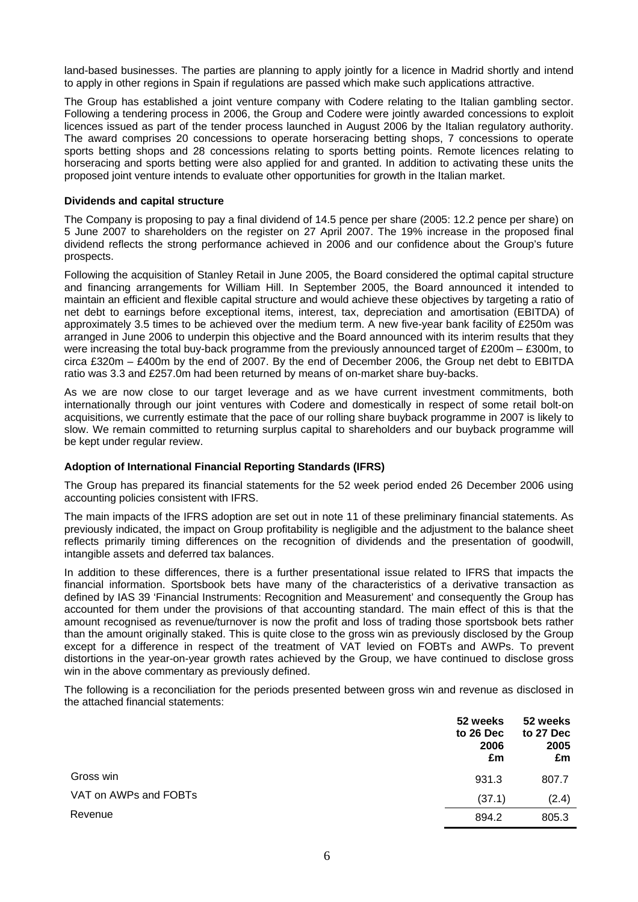land-based businesses. The parties are planning to apply jointly for a licence in Madrid shortly and intend to apply in other regions in Spain if regulations are passed which make such applications attractive.

The Group has established a joint venture company with Codere relating to the Italian gambling sector. Following a tendering process in 2006, the Group and Codere were jointly awarded concessions to exploit licences issued as part of the tender process launched in August 2006 by the Italian regulatory authority. The award comprises 20 concessions to operate horseracing betting shops, 7 concessions to operate sports betting shops and 28 concessions relating to sports betting points. Remote licences relating to horseracing and sports betting were also applied for and granted. In addition to activating these units the proposed joint venture intends to evaluate other opportunities for growth in the Italian market.

#### **Dividends and capital structure**

The Company is proposing to pay a final dividend of 14.5 pence per share (2005: 12.2 pence per share) on 5 June 2007 to shareholders on the register on 27 April 2007. The 19% increase in the proposed final dividend reflects the strong performance achieved in 2006 and our confidence about the Group's future prospects.

Following the acquisition of Stanley Retail in June 2005, the Board considered the optimal capital structure and financing arrangements for William Hill. In September 2005, the Board announced it intended to maintain an efficient and flexible capital structure and would achieve these objectives by targeting a ratio of net debt to earnings before exceptional items, interest, tax, depreciation and amortisation (EBITDA) of approximately 3.5 times to be achieved over the medium term. A new five-year bank facility of £250m was arranged in June 2006 to underpin this objective and the Board announced with its interim results that they were increasing the total buy-back programme from the previously announced target of £200m – £300m, to circa £320m – £400m by the end of 2007. By the end of December 2006, the Group net debt to EBITDA ratio was 3.3 and £257.0m had been returned by means of on-market share buy-backs.

As we are now close to our target leverage and as we have current investment commitments, both internationally through our joint ventures with Codere and domestically in respect of some retail bolt-on acquisitions, we currently estimate that the pace of our rolling share buyback programme in 2007 is likely to slow. We remain committed to returning surplus capital to shareholders and our buyback programme will be kept under regular review.

#### **Adoption of International Financial Reporting Standards (IFRS)**

The Group has prepared its financial statements for the 52 week period ended 26 December 2006 using accounting policies consistent with IFRS.

The main impacts of the IFRS adoption are set out in note 11 of these preliminary financial statements. As previously indicated, the impact on Group profitability is negligible and the adjustment to the balance sheet reflects primarily timing differences on the recognition of dividends and the presentation of goodwill, intangible assets and deferred tax balances.

In addition to these differences, there is a further presentational issue related to IFRS that impacts the financial information. Sportsbook bets have many of the characteristics of a derivative transaction as defined by IAS 39 'Financial Instruments: Recognition and Measurement' and consequently the Group has accounted for them under the provisions of that accounting standard. The main effect of this is that the amount recognised as revenue/turnover is now the profit and loss of trading those sportsbook bets rather than the amount originally staked. This is quite close to the gross win as previously disclosed by the Group except for a difference in respect of the treatment of VAT levied on FOBTs and AWPs. To prevent distortions in the year-on-year growth rates achieved by the Group, we have continued to disclose gross win in the above commentary as previously defined.

The following is a reconciliation for the periods presented between gross win and revenue as disclosed in the attached financial statements:

|                       | 52 weeks<br>to 26 Dec<br>2006<br>£m | 52 weeks<br>to 27 Dec<br>2005<br>£m |
|-----------------------|-------------------------------------|-------------------------------------|
| Gross win             | 931.3                               | 807.7                               |
| VAT on AWPs and FOBTs | (37.1)                              | (2.4)                               |
| Revenue               | 894.2                               | 805.3                               |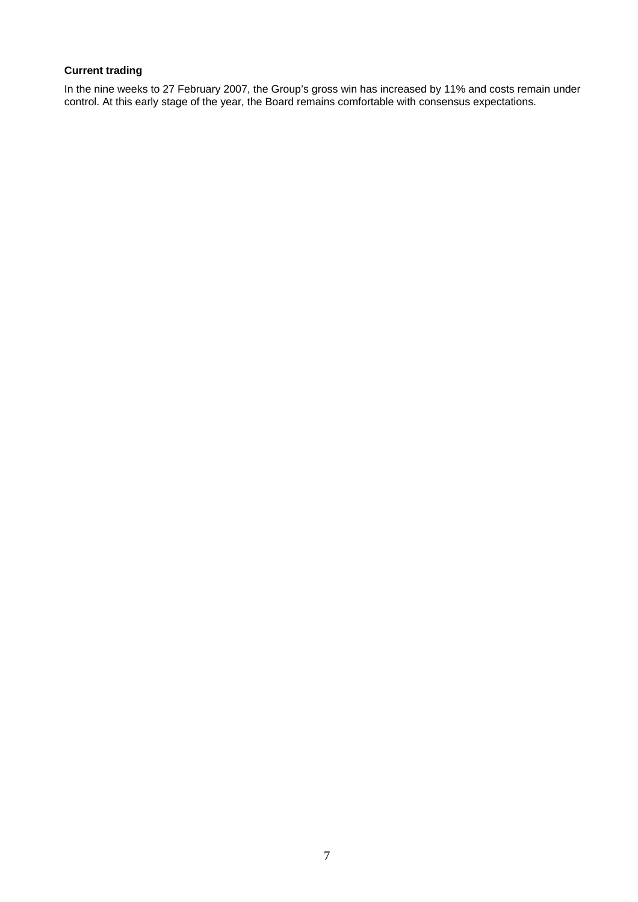### **Current trading**

In the nine weeks to 27 February 2007, the Group's gross win has increased by 11% and costs remain under control. At this early stage of the year, the Board remains comfortable with consensus expectations.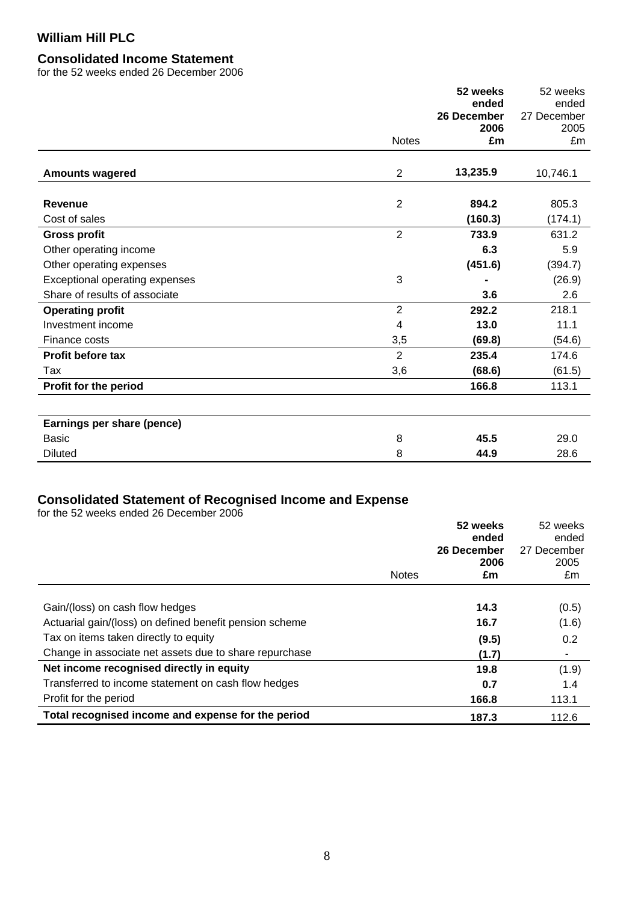# **Consolidated Income Statement**

for the 52 weeks ended 26 December 2006

|                                       |                | 52 weeks<br>ended | 52 weeks<br>ended |
|---------------------------------------|----------------|-------------------|-------------------|
|                                       |                | 26 December       | 27 December       |
|                                       |                | 2006              | 2005              |
|                                       | <b>Notes</b>   | £m                | £m                |
| <b>Amounts wagered</b>                | $\overline{2}$ | 13,235.9          | 10,746.1          |
| <b>Revenue</b>                        | $\overline{2}$ | 894.2             | 805.3             |
| Cost of sales                         |                | (160.3)           | (174.1)           |
| <b>Gross profit</b>                   | $\overline{2}$ | 733.9             | 631.2             |
| Other operating income                |                | 6.3               | 5.9               |
| Other operating expenses              |                | (451.6)           | (394.7)           |
| <b>Exceptional operating expenses</b> | 3              |                   | (26.9)            |
| Share of results of associate         |                | 3.6               | 2.6               |
| <b>Operating profit</b>               | $\overline{2}$ | 292.2             | 218.1             |
| Investment income                     | 4              | 13.0              | 11.1              |
| Finance costs                         | 3,5            | (69.8)            | (54.6)            |
| Profit before tax                     | $\overline{2}$ | 235.4             | 174.6             |
| Tax                                   | 3,6            | (68.6)            | (61.5)            |
| Profit for the period                 |                | 166.8             | 113.1             |
|                                       |                |                   |                   |
| Earnings per share (pence)            |                |                   |                   |
| <b>Basic</b>                          | 8              | 45.5              | 29.0              |
| <b>Diluted</b>                        | 8              | 44.9              | 28.6              |

### **Consolidated Statement of Recognised Income and Expense**

for the 52 weeks ended 26 December 2006

|                                                         | <b>Notes</b> | 52 weeks<br>ended<br>26 December<br>2006<br>£m | 52 weeks<br>ended<br>27 December<br>2005<br>£m |
|---------------------------------------------------------|--------------|------------------------------------------------|------------------------------------------------|
|                                                         |              |                                                |                                                |
| Gain/(loss) on cash flow hedges                         |              | 14.3                                           | (0.5)                                          |
| Actuarial gain/(loss) on defined benefit pension scheme |              | 16.7                                           | (1.6)                                          |
| Tax on items taken directly to equity                   |              | (9.5)                                          | 0.2                                            |
| Change in associate net assets due to share repurchase  |              | (1.7)                                          | ٠                                              |
| Net income recognised directly in equity                |              | 19.8                                           | (1.9)                                          |
| Transferred to income statement on cash flow hedges     |              | 0.7                                            | 1.4                                            |
| Profit for the period                                   |              | 166.8                                          | 113.1                                          |
| Total recognised income and expense for the period      |              | 187.3                                          | 112.6                                          |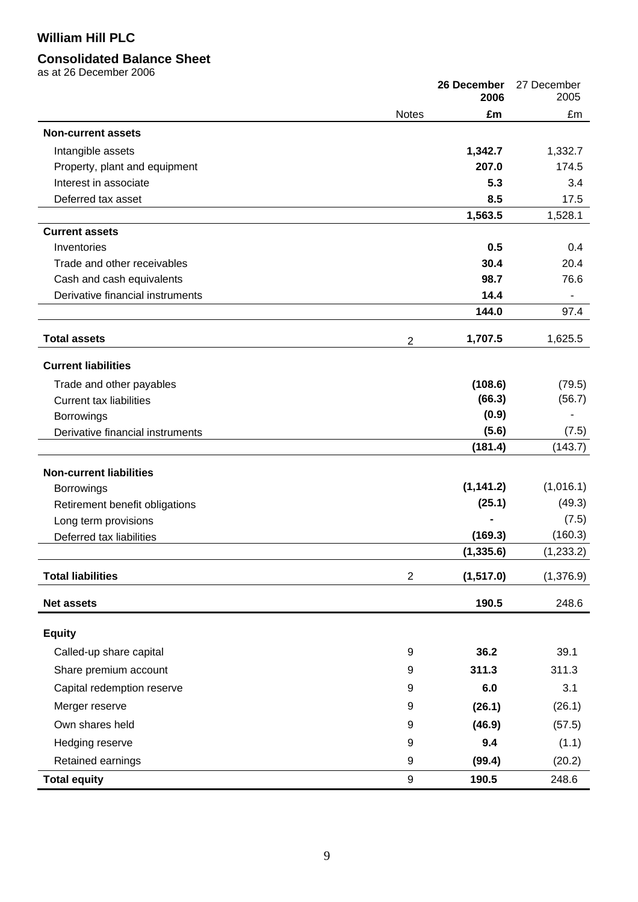# **Consolidated Balance Sheet**

as at 26 December 2006

|                                  |                | 26 December<br>2006 | 27 December<br>2005 |
|----------------------------------|----------------|---------------------|---------------------|
|                                  | <b>Notes</b>   | £m                  | £m                  |
| <b>Non-current assets</b>        |                |                     |                     |
| Intangible assets                |                | 1,342.7             | 1,332.7             |
| Property, plant and equipment    |                | 207.0               | 174.5               |
| Interest in associate            |                | 5.3                 | 3.4                 |
| Deferred tax asset               |                | 8.5                 | 17.5                |
|                                  |                | 1,563.5             | 1,528.1             |
| <b>Current assets</b>            |                |                     |                     |
| Inventories                      |                | 0.5                 | 0.4                 |
| Trade and other receivables      |                | 30.4                | 20.4                |
| Cash and cash equivalents        |                | 98.7                | 76.6                |
| Derivative financial instruments |                | 14.4                |                     |
|                                  |                | 144.0               | 97.4                |
| <b>Total assets</b>              | $\overline{2}$ | 1,707.5             | 1,625.5             |
| <b>Current liabilities</b>       |                |                     |                     |
| Trade and other payables         |                | (108.6)             | (79.5)              |
| <b>Current tax liabilities</b>   |                | (66.3)              | (56.7)              |
| Borrowings                       |                | (0.9)               |                     |
| Derivative financial instruments |                | (5.6)               | (7.5)               |
|                                  |                | (181.4)             | (143.7)             |
| <b>Non-current liabilities</b>   |                |                     |                     |
| Borrowings                       |                | (1, 141.2)          | (1,016.1)           |
| Retirement benefit obligations   |                | (25.1)              | (49.3)              |
| Long term provisions             |                |                     | (7.5)               |
| Deferred tax liabilities         |                | (169.3)             | (160.3)             |
|                                  |                | (1, 335.6)          | (1,233.2)           |
| <b>Total liabilities</b>         | $\overline{2}$ | (1, 517.0)          | (1,376.9)           |
| <b>Net assets</b>                |                | 190.5               | 248.6               |
| <b>Equity</b>                    |                |                     |                     |
| Called-up share capital          | 9              | 36.2                | 39.1                |
| Share premium account            | 9              | 311.3               | 311.3               |
| Capital redemption reserve       | 9              | 6.0                 | 3.1                 |
|                                  |                |                     |                     |
| Merger reserve                   | 9              | (26.1)              | (26.1)              |
| Own shares held                  | 9              | (46.9)              | (57.5)              |
| Hedging reserve                  | 9              | 9.4                 | (1.1)               |
| Retained earnings                | 9              | (99.4)              | (20.2)              |
| <b>Total equity</b>              | 9              | 190.5               | 248.6               |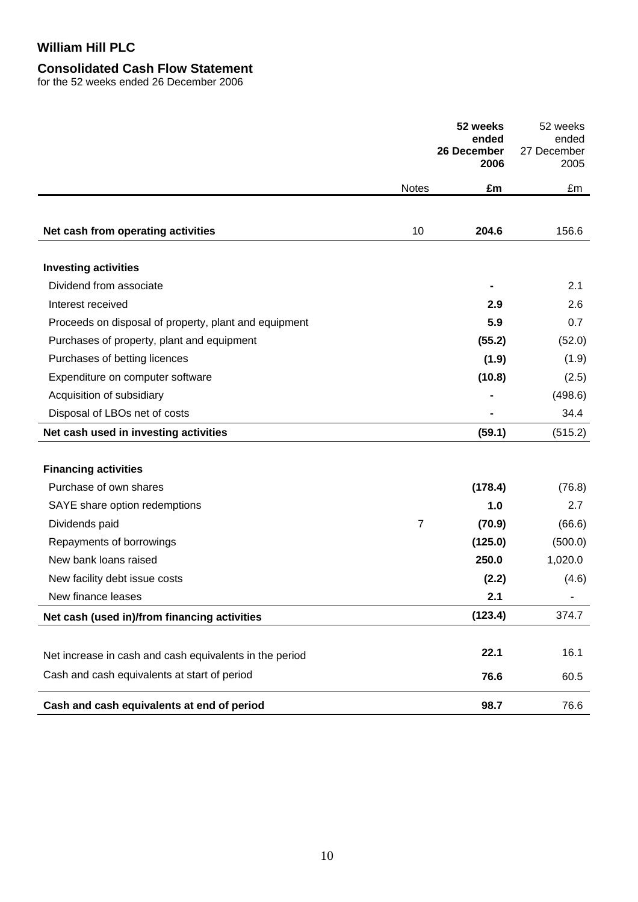# **Consolidated Cash Flow Statement**

for the 52 weeks ended 26 December 2006

|                                                         |                | 52 weeks<br>ended<br>26 December | 52 weeks<br>ended<br>27 December |
|---------------------------------------------------------|----------------|----------------------------------|----------------------------------|
|                                                         |                | 2006                             | 2005                             |
|                                                         | <b>Notes</b>   | £m                               | £m                               |
|                                                         |                |                                  |                                  |
| Net cash from operating activities                      | 10             | 204.6                            | 156.6                            |
|                                                         |                |                                  |                                  |
| <b>Investing activities</b>                             |                |                                  |                                  |
| Dividend from associate                                 |                |                                  | 2.1                              |
| Interest received                                       |                | 2.9                              | 2.6                              |
| Proceeds on disposal of property, plant and equipment   |                | 5.9                              | 0.7                              |
| Purchases of property, plant and equipment              |                | (55.2)                           | (52.0)                           |
| Purchases of betting licences                           |                | (1.9)                            | (1.9)                            |
| Expenditure on computer software                        |                | (10.8)                           | (2.5)                            |
| Acquisition of subsidiary                               |                |                                  | (498.6)                          |
| Disposal of LBOs net of costs                           |                |                                  | 34.4                             |
| Net cash used in investing activities                   |                | (59.1)                           | (515.2)                          |
|                                                         |                |                                  |                                  |
| <b>Financing activities</b>                             |                |                                  |                                  |
| Purchase of own shares                                  |                | (178.4)                          | (76.8)                           |
| SAYE share option redemptions                           |                | 1.0                              | 2.7                              |
| Dividends paid                                          | $\overline{7}$ | (70.9)                           | (66.6)                           |
| Repayments of borrowings                                |                | (125.0)                          | (500.0)                          |
| New bank loans raised                                   |                | 250.0                            | 1,020.0                          |
| New facility debt issue costs                           |                | (2.2)                            | (4.6)                            |
| New finance leases                                      |                | 2.1                              |                                  |
| Net cash (used in)/from financing activities            |                | (123.4)                          | 374.7                            |
|                                                         |                | 22.1                             | 16.1                             |
| Net increase in cash and cash equivalents in the period |                |                                  |                                  |
| Cash and cash equivalents at start of period            |                | 76.6                             | 60.5                             |
| Cash and cash equivalents at end of period              |                | 98.7                             | 76.6                             |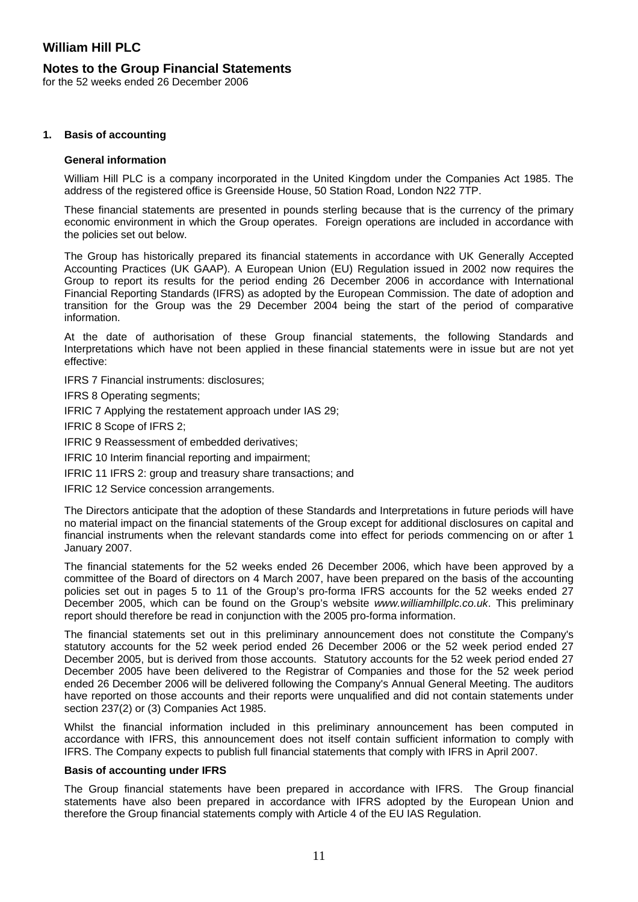### **Notes to the Group Financial Statements**

for the 52 weeks ended 26 December 2006

#### **1. Basis of accounting**

#### **General information**

William Hill PLC is a company incorporated in the United Kingdom under the Companies Act 1985. The address of the registered office is Greenside House, 50 Station Road, London N22 7TP.

These financial statements are presented in pounds sterling because that is the currency of the primary economic environment in which the Group operates. Foreign operations are included in accordance with the policies set out below.

The Group has historically prepared its financial statements in accordance with UK Generally Accepted Accounting Practices (UK GAAP). A European Union (EU) Regulation issued in 2002 now requires the Group to report its results for the period ending 26 December 2006 in accordance with International Financial Reporting Standards (IFRS) as adopted by the European Commission. The date of adoption and transition for the Group was the 29 December 2004 being the start of the period of comparative information.

At the date of authorisation of these Group financial statements, the following Standards and Interpretations which have not been applied in these financial statements were in issue but are not yet effective:

IFRS 7 Financial instruments: disclosures;

IFRS 8 Operating segments;

IFRIC 7 Applying the restatement approach under IAS 29;

IFRIC 8 Scope of IFRS 2;

IFRIC 9 Reassessment of embedded derivatives;

IFRIC 10 Interim financial reporting and impairment;

IFRIC 11 IFRS 2: group and treasury share transactions; and

IFRIC 12 Service concession arrangements.

The Directors anticipate that the adoption of these Standards and Interpretations in future periods will have no material impact on the financial statements of the Group except for additional disclosures on capital and financial instruments when the relevant standards come into effect for periods commencing on or after 1 January 2007.

The financial statements for the 52 weeks ended 26 December 2006, which have been approved by a committee of the Board of directors on 4 March 2007, have been prepared on the basis of the accounting policies set out in pages 5 to 11 of the Group's pro-forma IFRS accounts for the 52 weeks ended 27 December 2005, which can be found on the Group's website *www.williamhillplc.co.uk*. This preliminary report should therefore be read in conjunction with the 2005 pro-forma information.

The financial statements set out in this preliminary announcement does not constitute the Company's statutory accounts for the 52 week period ended 26 December 2006 or the 52 week period ended 27 December 2005, but is derived from those accounts. Statutory accounts for the 52 week period ended 27 December 2005 have been delivered to the Registrar of Companies and those for the 52 week period ended 26 December 2006 will be delivered following the Company's Annual General Meeting. The auditors have reported on those accounts and their reports were unqualified and did not contain statements under section 237(2) or (3) Companies Act 1985.

Whilst the financial information included in this preliminary announcement has been computed in accordance with IFRS, this announcement does not itself contain sufficient information to comply with IFRS. The Company expects to publish full financial statements that comply with IFRS in April 2007.

#### **Basis of accounting under IFRS**

The Group financial statements have been prepared in accordance with IFRS. The Group financial statements have also been prepared in accordance with IFRS adopted by the European Union and therefore the Group financial statements comply with Article 4 of the EU IAS Regulation.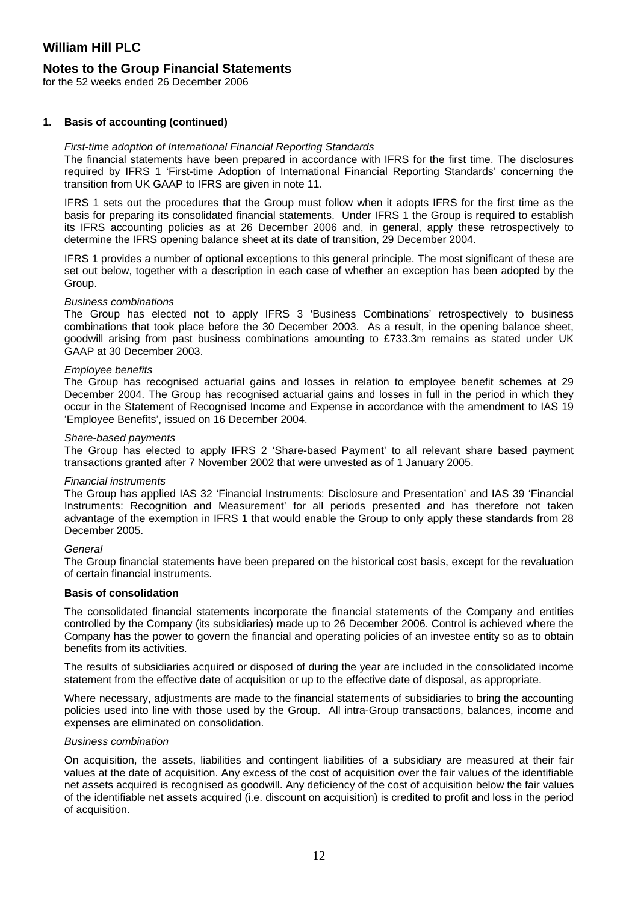### **Notes to the Group Financial Statements**

for the 52 weeks ended 26 December 2006

#### **1. Basis of accounting (continued)**

#### *First-time adoption of International Financial Reporting Standards*

The financial statements have been prepared in accordance with IFRS for the first time. The disclosures required by IFRS 1 'First-time Adoption of International Financial Reporting Standards' concerning the transition from UK GAAP to IFRS are given in note 11.

IFRS 1 sets out the procedures that the Group must follow when it adopts IFRS for the first time as the basis for preparing its consolidated financial statements. Under IFRS 1 the Group is required to establish its IFRS accounting policies as at 26 December 2006 and, in general, apply these retrospectively to determine the IFRS opening balance sheet at its date of transition, 29 December 2004.

IFRS 1 provides a number of optional exceptions to this general principle. The most significant of these are set out below, together with a description in each case of whether an exception has been adopted by the Group.

#### *Business combinations*

The Group has elected not to apply IFRS 3 'Business Combinations' retrospectively to business combinations that took place before the 30 December 2003. As a result, in the opening balance sheet, goodwill arising from past business combinations amounting to £733.3m remains as stated under UK GAAP at 30 December 2003.

#### *Employee benefits*

The Group has recognised actuarial gains and losses in relation to employee benefit schemes at 29 December 2004. The Group has recognised actuarial gains and losses in full in the period in which they occur in the Statement of Recognised Income and Expense in accordance with the amendment to IAS 19 'Employee Benefits', issued on 16 December 2004.

#### *Share-based payments*

The Group has elected to apply IFRS 2 'Share-based Payment' to all relevant share based payment transactions granted after 7 November 2002 that were unvested as of 1 January 2005.

#### *Financial instruments*

The Group has applied IAS 32 'Financial Instruments: Disclosure and Presentation' and IAS 39 'Financial Instruments: Recognition and Measurement' for all periods presented and has therefore not taken advantage of the exemption in IFRS 1 that would enable the Group to only apply these standards from 28 December 2005.

#### *General*

The Group financial statements have been prepared on the historical cost basis, except for the revaluation of certain financial instruments.

#### **Basis of consolidation**

The consolidated financial statements incorporate the financial statements of the Company and entities controlled by the Company (its subsidiaries) made up to 26 December 2006. Control is achieved where the Company has the power to govern the financial and operating policies of an investee entity so as to obtain benefits from its activities.

The results of subsidiaries acquired or disposed of during the year are included in the consolidated income statement from the effective date of acquisition or up to the effective date of disposal, as appropriate.

Where necessary, adjustments are made to the financial statements of subsidiaries to bring the accounting policies used into line with those used by the Group. All intra-Group transactions, balances, income and expenses are eliminated on consolidation.

#### *Business combination*

On acquisition, the assets, liabilities and contingent liabilities of a subsidiary are measured at their fair values at the date of acquisition. Any excess of the cost of acquisition over the fair values of the identifiable net assets acquired is recognised as goodwill. Any deficiency of the cost of acquisition below the fair values of the identifiable net assets acquired (i.e. discount on acquisition) is credited to profit and loss in the period of acquisition.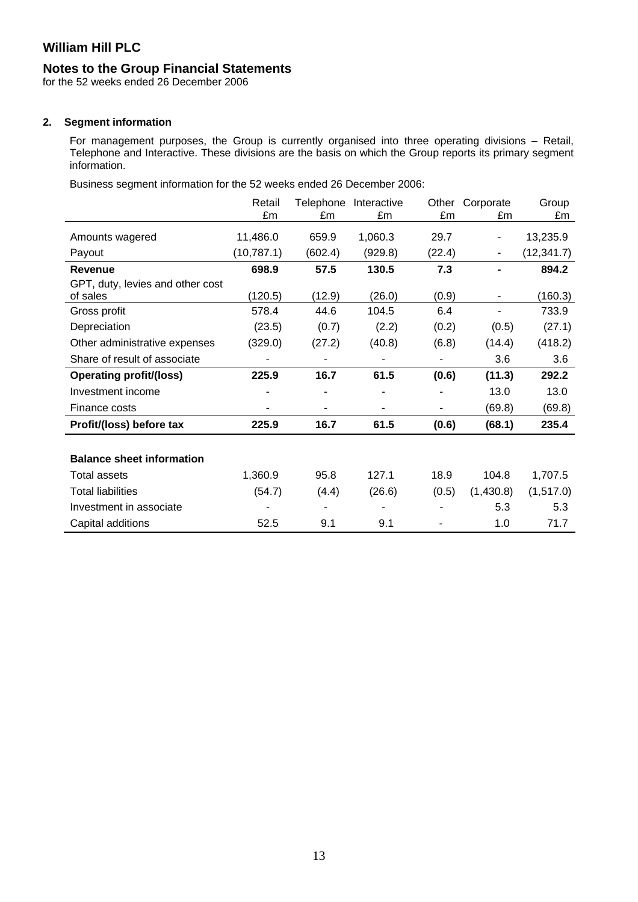### **Notes to the Group Financial Statements**

for the 52 weeks ended 26 December 2006

### **2. Segment information**

For management purposes, the Group is currently organised into three operating divisions – Retail, Telephone and Interactive. These divisions are the basis on which the Group reports its primary segment information.

Business segment information for the 52 weeks ended 26 December 2006:

|                                              | Retail<br>£m | Telephone<br>£m | Interactive<br>£m | Other<br>£m | Corporate<br>£m          | Group<br>£m |
|----------------------------------------------|--------------|-----------------|-------------------|-------------|--------------------------|-------------|
| Amounts wagered                              | 11,486.0     | 659.9           | 1,060.3           | 29.7        | ۰                        | 13,235.9    |
| Payout                                       | (10, 787.1)  | (602.4)         | (929.8)           | (22.4)      | $\overline{\phantom{0}}$ | (12, 341.7) |
| <b>Revenue</b>                               | 698.9        | 57.5            | 130.5             | 7.3         |                          | 894.2       |
| GPT, duty, levies and other cost<br>of sales | (120.5)      | (12.9)          | (26.0)            | (0.9)       | -                        | (160.3)     |
| Gross profit                                 | 578.4        | 44.6            | 104.5             | 6.4         |                          | 733.9       |
| Depreciation                                 | (23.5)       | (0.7)           | (2.2)             | (0.2)       | (0.5)                    | (27.1)      |
| Other administrative expenses                | (329.0)      | (27.2)          | (40.8)            | (6.8)       | (14.4)                   | (418.2)     |
| Share of result of associate                 |              |                 |                   |             | 3.6                      | 3.6         |
| <b>Operating profit/(loss)</b>               | 225.9        | 16.7            | 61.5              | (0.6)       | (11.3)                   | 292.2       |
| Investment income                            |              |                 |                   |             | 13.0                     | 13.0        |
| Finance costs                                |              |                 |                   |             | (69.8)                   | (69.8)      |
| Profit/(loss) before tax                     | 225.9        | 16.7            | 61.5              | (0.6)       | (68.1)                   | 235.4       |
|                                              |              |                 |                   |             |                          |             |
| <b>Balance sheet information</b>             |              |                 |                   |             |                          |             |
| <b>Total assets</b>                          | 1,360.9      | 95.8            | 127.1             | 18.9        | 104.8                    | 1,707.5     |
| <b>Total liabilities</b>                     | (54.7)       | (4.4)           | (26.6)            | (0.5)       | (1,430.8)                | (1,517.0)   |
| Investment in associate                      |              |                 |                   |             | 5.3                      | 5.3         |
| Capital additions                            | 52.5         | 9.1             | 9.1               |             | 1.0                      | 71.7        |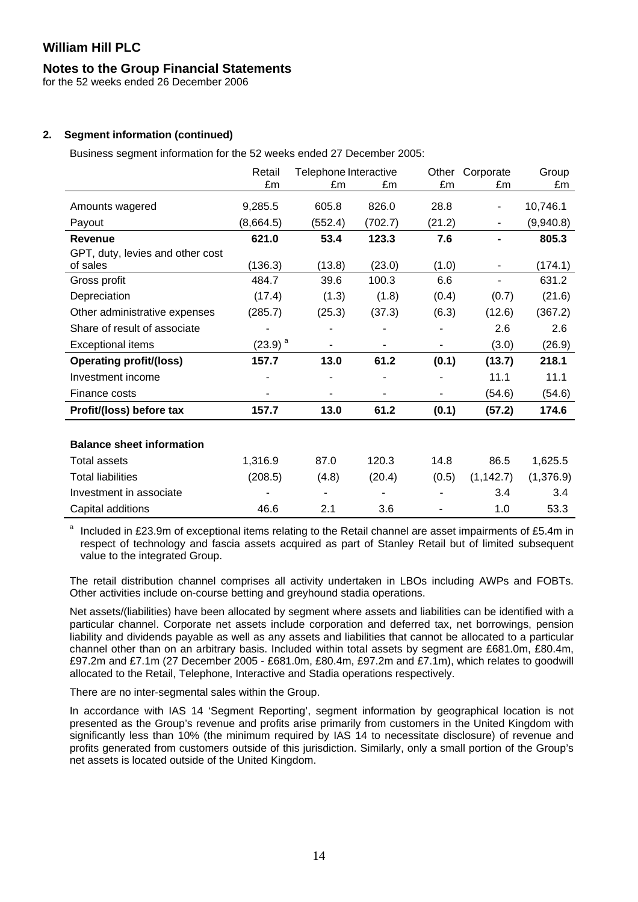### **Notes to the Group Financial Statements**

for the 52 weeks ended 26 December 2006

### **2. Segment information (continued)**

Business segment information for the 52 weeks ended 27 December 2005:

|                                              | Retail       | Telephone Interactive |         | Other  | Corporate                | Group     |
|----------------------------------------------|--------------|-----------------------|---------|--------|--------------------------|-----------|
|                                              | £m           | £m                    | £m      | £m     | £m                       | £m        |
| Amounts wagered                              | 9,285.5      | 605.8                 | 826.0   | 28.8   | $\overline{\phantom{0}}$ | 10,746.1  |
| Payout                                       | (8,664.5)    | (552.4)               | (702.7) | (21.2) | $\blacksquare$           | (9,940.8) |
| <b>Revenue</b>                               | 621.0        | 53.4                  | 123.3   | 7.6    |                          | 805.3     |
| GPT, duty, levies and other cost<br>of sales | (136.3)      | (13.8)                | (23.0)  | (1.0)  |                          | (174.1)   |
| Gross profit                                 | 484.7        | 39.6                  | 100.3   | 6.6    | ٠                        | 631.2     |
| Depreciation                                 | (17.4)       | (1.3)                 | (1.8)   | (0.4)  | (0.7)                    | (21.6)    |
| Other administrative expenses                | (285.7)      | (25.3)                | (37.3)  | (6.3)  | (12.6)                   | (367.2)   |
| Share of result of associate                 |              |                       |         |        | 2.6                      | 2.6       |
| <b>Exceptional items</b>                     | $(23.9)^{a}$ |                       |         |        | (3.0)                    | (26.9)    |
| <b>Operating profit/(loss)</b>               | 157.7        | 13.0                  | 61.2    | (0.1)  | (13.7)                   | 218.1     |
| Investment income                            |              |                       |         |        | 11.1                     | 11.1      |
| Finance costs                                |              |                       |         |        | (54.6)                   | (54.6)    |
| Profit/(loss) before tax                     | 157.7        | 13.0                  | 61.2    | (0.1)  | (57.2)                   | 174.6     |
|                                              |              |                       |         |        |                          |           |
| <b>Balance sheet information</b>             |              |                       |         |        |                          |           |
| <b>Total assets</b>                          | 1,316.9      | 87.0                  | 120.3   | 14.8   | 86.5                     | 1,625.5   |
| <b>Total liabilities</b>                     | (208.5)      | (4.8)                 | (20.4)  | (0.5)  | (1, 142.7)               | (1,376.9) |
| Investment in associate                      |              |                       |         |        | 3.4                      | 3.4       |
| Capital additions                            | 46.6         | 2.1                   | 3.6     |        | 1.0                      | 53.3      |

a Included in £23.9m of exceptional items relating to the Retail channel are asset impairments of £5.4m in respect of technology and fascia assets acquired as part of Stanley Retail but of limited subsequent value to the integrated Group.

The retail distribution channel comprises all activity undertaken in LBOs including AWPs and FOBTs. Other activities include on-course betting and greyhound stadia operations.

Net assets/(liabilities) have been allocated by segment where assets and liabilities can be identified with a particular channel. Corporate net assets include corporation and deferred tax, net borrowings, pension liability and dividends payable as well as any assets and liabilities that cannot be allocated to a particular channel other than on an arbitrary basis. Included within total assets by segment are £681.0m, £80.4m, £97.2m and £7.1m (27 December 2005 - £681.0m, £80.4m, £97.2m and £7.1m), which relates to goodwill allocated to the Retail, Telephone, Interactive and Stadia operations respectively.

There are no inter-segmental sales within the Group.

In accordance with IAS 14 'Segment Reporting', segment information by geographical location is not presented as the Group's revenue and profits arise primarily from customers in the United Kingdom with significantly less than 10% (the minimum required by IAS 14 to necessitate disclosure) of revenue and profits generated from customers outside of this jurisdiction. Similarly, only a small portion of the Group's net assets is located outside of the United Kingdom.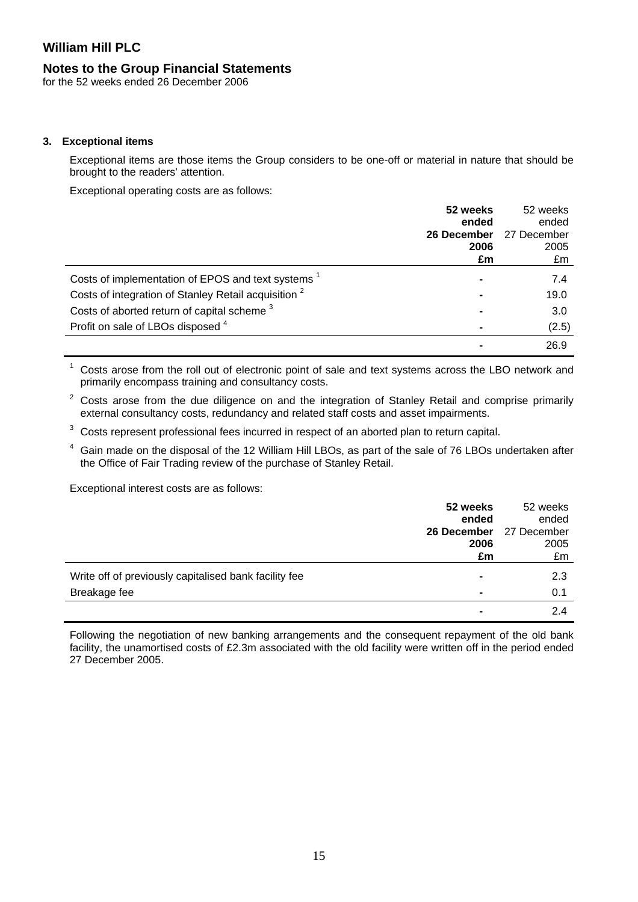### **Notes to the Group Financial Statements**

for the 52 weeks ended 26 December 2006

### **3. Exceptional items**

Exceptional items are those items the Group considers to be one-off or material in nature that should be brought to the readers' attention.

Exceptional operating costs are as follows:

|                                                                 | 52 weeks    | 52 weeks    |
|-----------------------------------------------------------------|-------------|-------------|
|                                                                 | ended       | ended       |
|                                                                 | 26 December | 27 December |
|                                                                 | 2006        | 2005        |
|                                                                 | £m          | £m          |
| Costs of implementation of EPOS and text systems <sup>1</sup>   |             | 7.4         |
| Costs of integration of Stanley Retail acquisition <sup>2</sup> |             | 19.0        |
| Costs of aborted return of capital scheme <sup>3</sup>          |             | 3.0         |
| Profit on sale of LBOs disposed 4                               |             | (2.5)       |
|                                                                 |             | 26.9        |

1 Costs arose from the roll out of electronic point of sale and text systems across the LBO network and primarily encompass training and consultancy costs.

2 Costs arose from the due diligence on and the integration of Stanley Retail and comprise primarily external consultancy costs, redundancy and related staff costs and asset impairments.

3 Costs represent professional fees incurred in respect of an aborted plan to return capital.

4 Gain made on the disposal of the 12 William Hill LBOs, as part of the sale of 76 LBOs undertaken after the Office of Fair Trading review of the purchase of Stanley Retail.

Exceptional interest costs are as follows:

|                                                       | 52 weeks<br>ended | 52 weeks<br>ended |
|-------------------------------------------------------|-------------------|-------------------|
|                                                       | 26 December       | 27 December       |
|                                                       | 2006              | 2005              |
|                                                       | £m                | £m                |
| Write off of previously capitalised bank facility fee |                   | 2.3               |
| Breakage fee                                          |                   | 0.1               |
|                                                       |                   | 2.4               |

Following the negotiation of new banking arrangements and the consequent repayment of the old bank facility, the unamortised costs of £2.3m associated with the old facility were written off in the period ended 27 December 2005.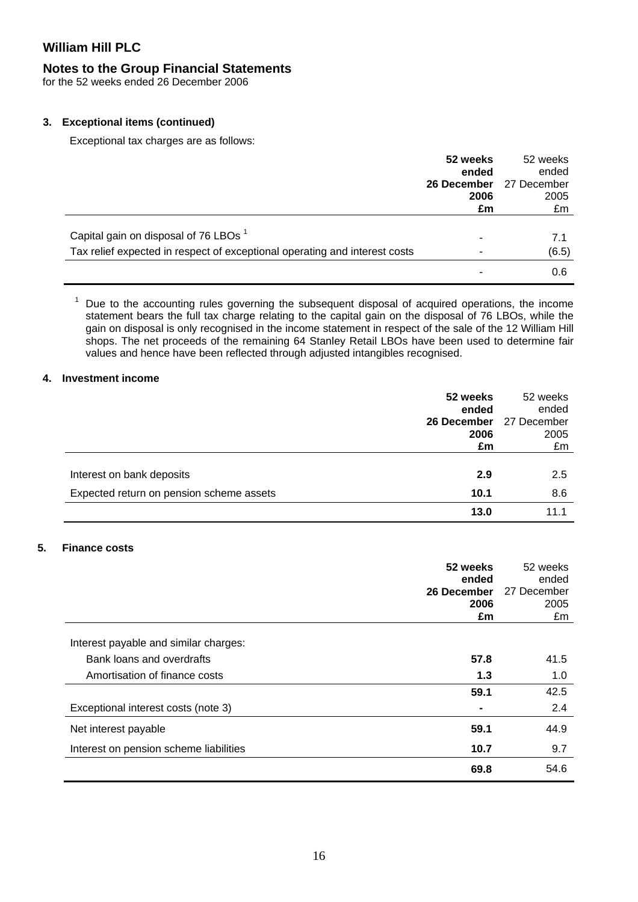## **Notes to the Group Financial Statements**

for the 52 weeks ended 26 December 2006

### **3. Exceptional items (continued)**

Exceptional tax charges are as follows:

|                                                                            | 52 weeks    | 52 weeks    |
|----------------------------------------------------------------------------|-------------|-------------|
|                                                                            | ended       | ended       |
|                                                                            | 26 December | 27 December |
|                                                                            | 2006        | 2005        |
|                                                                            | £m          | £m          |
|                                                                            |             |             |
| Capital gain on disposal of 76 LBOs <sup>1</sup>                           |             | 7.1         |
| Tax relief expected in respect of exceptional operating and interest costs |             | (6.5)       |
|                                                                            |             | 0.6         |

<sup>1</sup> Due to the accounting rules governing the subsequent disposal of acquired operations, the income statement bears the full tax charge relating to the capital gain on the disposal of 76 LBOs, while the gain on disposal is only recognised in the income statement in respect of the sale of the 12 William Hill shops. The net proceeds of the remaining 64 Stanley Retail LBOs have been used to determine fair values and hence have been reflected through adjusted intangibles recognised.

#### **4. Investment income**

|                                                                       | 52 weeks<br>ended<br>26 December<br>2006<br>£m | 52 weeks<br>ended<br>27 December<br>2005<br>£m |
|-----------------------------------------------------------------------|------------------------------------------------|------------------------------------------------|
| Interest on bank deposits<br>Expected return on pension scheme assets | 2.9<br>10.1                                    | 2.5<br>8.6                                     |
|                                                                       | 13.0                                           | 11.1                                           |

### **5. Finance costs**

|                                        | 52 weeks<br>ended | 52 weeks<br>ended |
|----------------------------------------|-------------------|-------------------|
|                                        | 26 December       | 27 December       |
|                                        | 2006              | 2005              |
|                                        | £m                | £m                |
| Interest payable and similar charges:  |                   |                   |
| Bank loans and overdrafts              | 57.8              | 41.5              |
| Amortisation of finance costs          | 1.3               | 1.0               |
|                                        | 59.1              | 42.5              |
| Exceptional interest costs (note 3)    |                   | 2.4               |
| Net interest payable                   | 59.1              | 44.9              |
| Interest on pension scheme liabilities | 10.7              | 9.7               |
|                                        | 69.8              | 54.6              |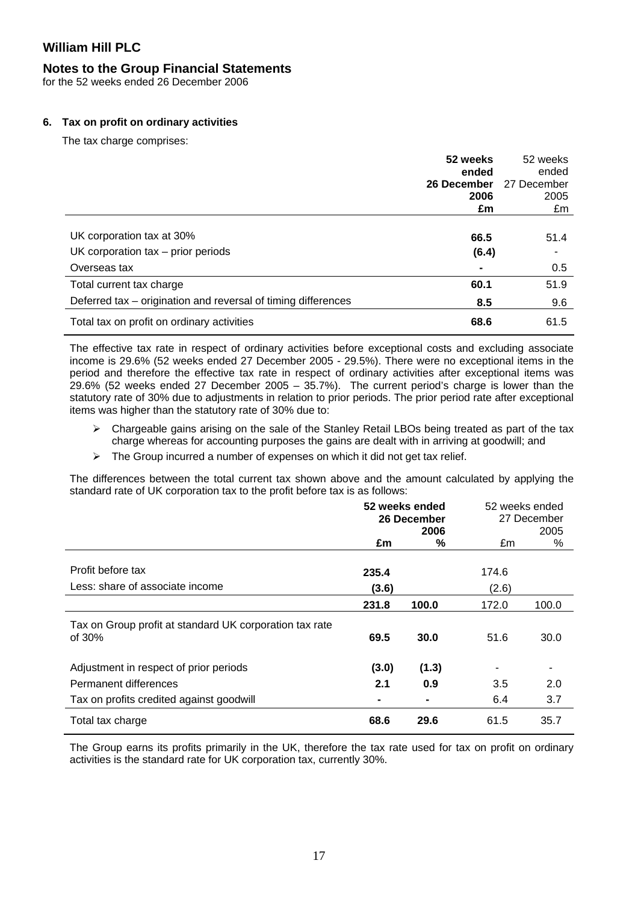### **Notes to the Group Financial Statements**

for the 52 weeks ended 26 December 2006

### **6. Tax on profit on ordinary activities**

The tax charge comprises:

|                                                               | 52 weeks<br>ended | 52 weeks<br>ended |
|---------------------------------------------------------------|-------------------|-------------------|
|                                                               | 26 December       | 27 December       |
|                                                               | 2006              | 2005              |
|                                                               | £m                | £m                |
|                                                               |                   |                   |
| UK corporation tax at 30%                                     | 66.5              | 51.4              |
| UK corporation $tax - prior$ periods                          | (6.4)             |                   |
| Overseas tax                                                  |                   | 0.5               |
| Total current tax charge                                      | 60.1              | 51.9              |
| Deferred tax – origination and reversal of timing differences | 8.5               | 9.6               |
| Total tax on profit on ordinary activities                    | 68.6              | 61.5              |

The effective tax rate in respect of ordinary activities before exceptional costs and excluding associate income is 29.6% (52 weeks ended 27 December 2005 - 29.5%). There were no exceptional items in the period and therefore the effective tax rate in respect of ordinary activities after exceptional items was 29.6% (52 weeks ended 27 December 2005 – 35.7%). The current period's charge is lower than the statutory rate of 30% due to adjustments in relation to prior periods. The prior period rate after exceptional items was higher than the statutory rate of 30% due to:

- $\triangleright$  Chargeable gains arising on the sale of the Stanley Retail LBOs being treated as part of the tax charge whereas for accounting purposes the gains are dealt with in arriving at goodwill; and
- $\triangleright$  The Group incurred a number of expenses on which it did not get tax relief.

The differences between the total current tax shown above and the amount calculated by applying the standard rate of UK corporation tax to the profit before tax is as follows:

|                                                                   | 52 weeks ended<br>26 December<br>2006 |       | 52 weeks ended | 27 December<br>2005 |
|-------------------------------------------------------------------|---------------------------------------|-------|----------------|---------------------|
|                                                                   | £m                                    | %     | £m             | %                   |
| Profit before tax                                                 | 235.4                                 |       | 174.6          |                     |
| Less: share of associate income                                   | (3.6)                                 |       | (2.6)          |                     |
|                                                                   | 231.8                                 | 100.0 | 172.0          | 100.0               |
| Tax on Group profit at standard UK corporation tax rate<br>of 30% | 69.5                                  | 30.0  | 51.6           | 30.0                |
| Adjustment in respect of prior periods                            | (3.0)                                 | (1.3) | ٠              |                     |
| Permanent differences                                             | 2.1                                   | 0.9   | 3.5            | 2.0                 |
| Tax on profits credited against goodwill                          | -                                     | -     | 6.4            | 3.7                 |
| Total tax charge                                                  | 68.6                                  | 29.6  | 61.5           | 35.7                |

The Group earns its profits primarily in the UK, therefore the tax rate used for tax on profit on ordinary activities is the standard rate for UK corporation tax, currently 30%.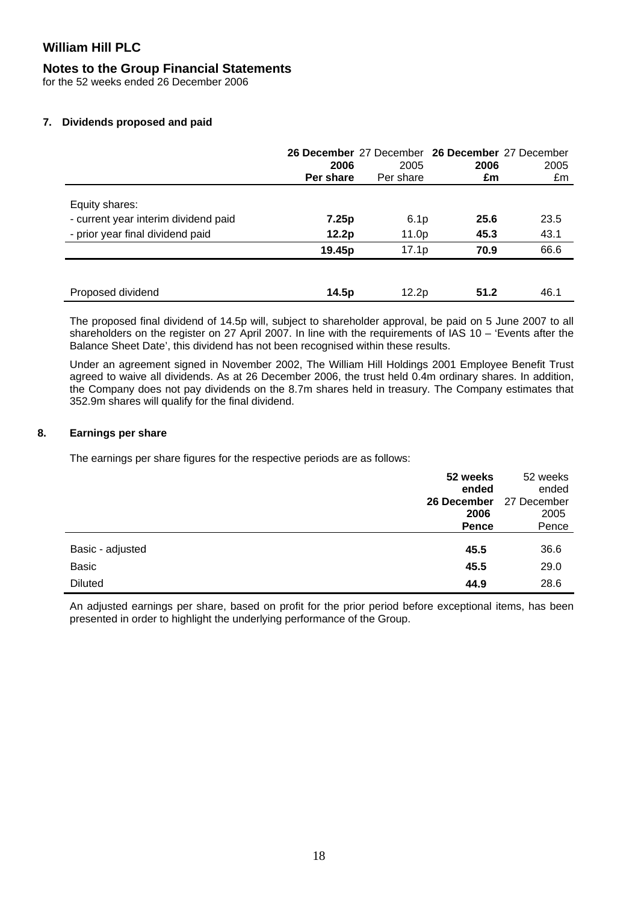### **Notes to the Group Financial Statements**

for the 52 weeks ended 26 December 2006

### **7. Dividends proposed and paid**

|                                      | 2006<br>Per share | 26 December 27 December 26 December 27 December<br>2005<br>Per share | 2006<br>£m | 2005<br>£m |
|--------------------------------------|-------------------|----------------------------------------------------------------------|------------|------------|
| Equity shares:                       |                   |                                                                      |            |            |
| - current year interim dividend paid | 7.25p             | 6.1 <sub>p</sub>                                                     | 25.6       | 23.5       |
| - prior year final dividend paid     | 12.2p             | 11.0p                                                                | 45.3       | 43.1       |
|                                      | 19.45p            | 17.1 <sub>p</sub>                                                    | 70.9       | 66.6       |
|                                      |                   |                                                                      |            |            |
| Proposed dividend                    | 14.5p             | 12.2p                                                                | 51.2       | 46.1       |

The proposed final dividend of 14.5p will, subject to shareholder approval, be paid on 5 June 2007 to all shareholders on the register on 27 April 2007. In line with the requirements of IAS 10 – 'Events after the Balance Sheet Date', this dividend has not been recognised within these results.

Under an agreement signed in November 2002, The William Hill Holdings 2001 Employee Benefit Trust agreed to waive all dividends. As at 26 December 2006, the trust held 0.4m ordinary shares. In addition, the Company does not pay dividends on the 8.7m shares held in treasury. The Company estimates that 352.9m shares will qualify for the final dividend.

### **8. Earnings per share**

The earnings per share figures for the respective periods are as follows:

|                  | 52 weeks<br>ended | 52 weeks<br>ended |
|------------------|-------------------|-------------------|
|                  | 26 December       | 27 December       |
|                  | 2006              | 2005              |
|                  | Pence             | Pence             |
| Basic - adjusted | 45.5              | 36.6              |
| <b>Basic</b>     | 45.5              | 29.0              |
| <b>Diluted</b>   | 44.9              | 28.6              |

An adjusted earnings per share, based on profit for the prior period before exceptional items, has been presented in order to highlight the underlying performance of the Group.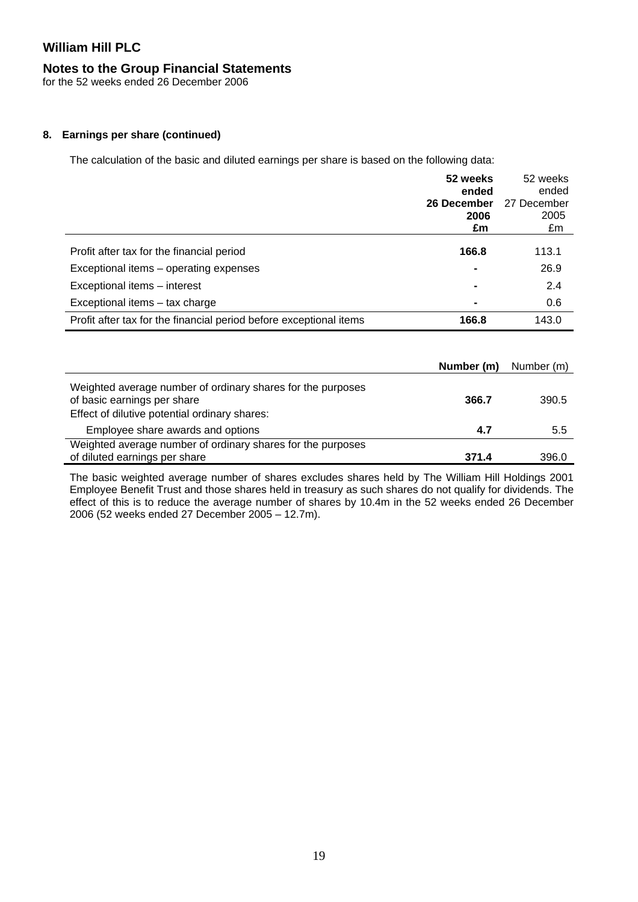# **Notes to the Group Financial Statements**

for the 52 weeks ended 26 December 2006

## **8. Earnings per share (continued)**

The calculation of the basic and diluted earnings per share is based on the following data:

|                                                                    | 52 weeks<br>ended<br>26 December<br>2006 | 52 weeks<br>ended<br>27 December<br>2005 |
|--------------------------------------------------------------------|------------------------------------------|------------------------------------------|
|                                                                    | £m                                       | £m                                       |
| Profit after tax for the financial period                          | 166.8                                    | 113.1                                    |
| Exceptional items – operating expenses                             | $\blacksquare$                           | 26.9                                     |
| Exceptional items - interest                                       | $\blacksquare$                           | 2.4                                      |
| Exceptional items – tax charge                                     | $\blacksquare$                           | 0.6                                      |
| Profit after tax for the financial period before exceptional items | 166.8                                    | 143.0                                    |

|                                                                                                                                             | Number (m) | Number (m) |
|---------------------------------------------------------------------------------------------------------------------------------------------|------------|------------|
| Weighted average number of ordinary shares for the purposes<br>of basic earnings per share<br>Effect of dilutive potential ordinary shares: | 366.7      | 390.5      |
| Employee share awards and options                                                                                                           | 4.7        | 5.5        |
| Weighted average number of ordinary shares for the purposes<br>of diluted earnings per share                                                | 371.4      | 396.0      |

The basic weighted average number of shares excludes shares held by The William Hill Holdings 2001 Employee Benefit Trust and those shares held in treasury as such shares do not qualify for dividends. The effect of this is to reduce the average number of shares by 10.4m in the 52 weeks ended 26 December 2006 (52 weeks ended 27 December 2005 – 12.7m).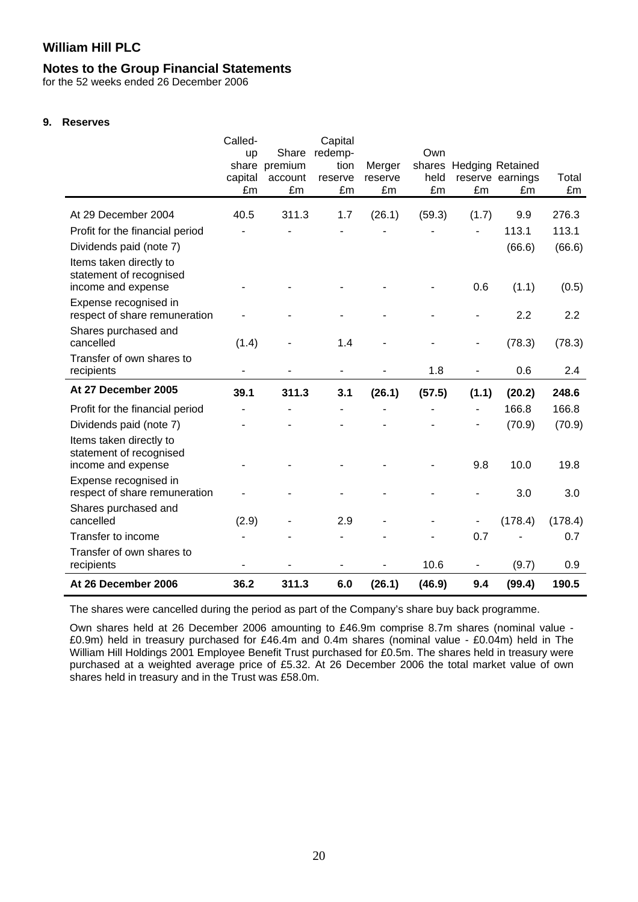### **Notes to the Group Financial Statements**

for the 52 weeks ended 26 December 2006

### **9. Reserves**

|                                                                          | Called-       |               | Capital       |               |            |                          |                         |             |
|--------------------------------------------------------------------------|---------------|---------------|---------------|---------------|------------|--------------------------|-------------------------|-------------|
|                                                                          | up            | Share         | redemp-       |               | Own        |                          |                         |             |
|                                                                          |               | share premium | tion          | Merger        | shares     |                          | <b>Hedging Retained</b> |             |
|                                                                          | capital<br>£m | account<br>£m | reserve<br>£m | reserve<br>£m | held<br>£m | £m                       | reserve earnings<br>£m  | Total<br>£m |
|                                                                          |               |               |               |               |            |                          |                         |             |
| At 29 December 2004                                                      | 40.5          | 311.3         | 1.7           | (26.1)        | (59.3)     | (1.7)                    | 9.9                     | 276.3       |
| Profit for the financial period                                          |               |               |               |               |            |                          | 113.1                   | 113.1       |
| Dividends paid (note 7)                                                  |               |               |               |               |            |                          | (66.6)                  | (66.6)      |
| Items taken directly to<br>statement of recognised<br>income and expense |               |               |               |               |            | 0.6                      | (1.1)                   | (0.5)       |
|                                                                          |               |               |               |               |            |                          |                         |             |
| Expense recognised in<br>respect of share remuneration                   |               |               |               |               |            |                          | 2.2                     | 2.2         |
| Shares purchased and<br>cancelled                                        | (1.4)         |               | 1.4           |               |            |                          | (78.3)                  | (78.3)      |
| Transfer of own shares to<br>recipients                                  |               |               |               |               | 1.8        |                          | 0.6                     | 2.4         |
| At 27 December 2005                                                      | 39.1          | 311.3         | 3.1           | (26.1)        | (57.5)     | (1.1)                    | (20.2)                  | 248.6       |
| Profit for the financial period                                          |               |               |               |               |            | $\blacksquare$           | 166.8                   | 166.8       |
| Dividends paid (note 7)                                                  |               |               |               |               |            |                          | (70.9)                  | (70.9)      |
| Items taken directly to<br>statement of recognised<br>income and expense |               |               |               |               |            | 9.8                      | 10.0                    | 19.8        |
| Expense recognised in                                                    |               |               |               |               |            |                          |                         |             |
| respect of share remuneration                                            |               |               |               |               |            |                          | 3.0                     | 3.0         |
| Shares purchased and<br>cancelled                                        | (2.9)         |               | 2.9           |               |            | $\overline{\phantom{a}}$ | (178.4)                 | (178.4)     |
| Transfer to income                                                       |               |               |               |               |            | 0.7                      |                         | 0.7         |
| Transfer of own shares to<br>recipients                                  |               |               |               |               | 10.6       | $\blacksquare$           | (9.7)                   | 0.9         |
| At 26 December 2006                                                      | 36.2          | 311.3         | 6.0           | (26.1)        | (46.9)     | 9.4                      | (99.4)                  | 190.5       |

The shares were cancelled during the period as part of the Company's share buy back programme.

Own shares held at 26 December 2006 amounting to £46.9m comprise 8.7m shares (nominal value - £0.9m) held in treasury purchased for £46.4m and 0.4m shares (nominal value - £0.04m) held in The William Hill Holdings 2001 Employee Benefit Trust purchased for £0.5m. The shares held in treasury were purchased at a weighted average price of £5.32. At 26 December 2006 the total market value of own shares held in treasury and in the Trust was £58.0m.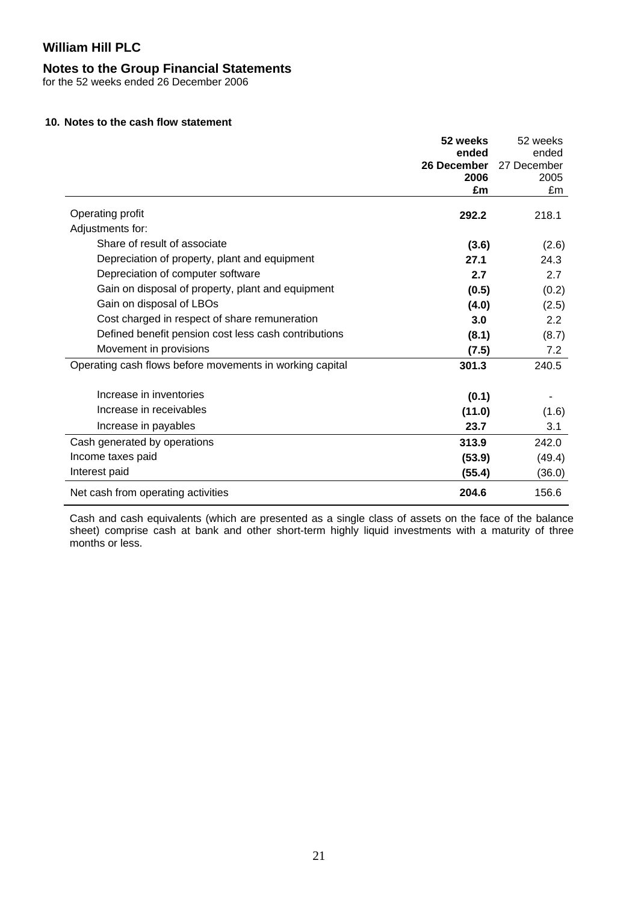### **Notes to the Group Financial Statements**

for the 52 weeks ended 26 December 2006

### **10. Notes to the cash flow statement**

|                                                          | 52 weeks    | 52 weeks         |
|----------------------------------------------------------|-------------|------------------|
|                                                          | ended       | ended            |
|                                                          | 26 December | 27 December      |
|                                                          | 2006        | 2005             |
|                                                          | £m          | £m               |
| Operating profit                                         | 292.2       | 218.1            |
| Adjustments for:                                         |             |                  |
| Share of result of associate                             | (3.6)       | (2.6)            |
| Depreciation of property, plant and equipment            | 27.1        | 24.3             |
| Depreciation of computer software                        | 2.7         | 2.7              |
| Gain on disposal of property, plant and equipment        | (0.5)       | (0.2)            |
| Gain on disposal of LBOs                                 | (4.0)       | (2.5)            |
| Cost charged in respect of share remuneration            | 3.0         | $2.2\phantom{0}$ |
| Defined benefit pension cost less cash contributions     | (8.1)       | (8.7)            |
| Movement in provisions                                   | (7.5)       | 7.2              |
| Operating cash flows before movements in working capital | 301.3       | 240.5            |
| Increase in inventories                                  | (0.1)       |                  |
| Increase in receivables                                  | (11.0)      | (1.6)            |
| Increase in payables                                     | 23.7        | 3.1              |
| Cash generated by operations                             | 313.9       | 242.0            |
| Income taxes paid                                        | (53.9)      | (49.4)           |
| Interest paid                                            | (55.4)      | (36.0)           |
| Net cash from operating activities                       | 204.6       | 156.6            |

Cash and cash equivalents (which are presented as a single class of assets on the face of the balance sheet) comprise cash at bank and other short-term highly liquid investments with a maturity of three months or less.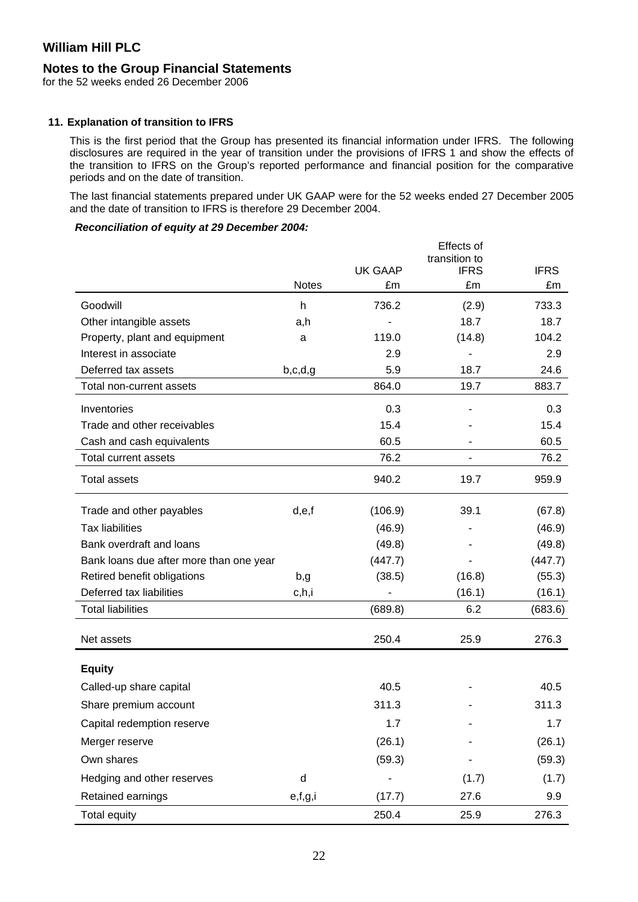### **Notes to the Group Financial Statements**

for the 52 weeks ended 26 December 2006

#### **11. Explanation of transition to IFRS**

This is the first period that the Group has presented its financial information under IFRS. The following disclosures are required in the year of transition under the provisions of IFRS 1 and show the effects of the transition to IFRS on the Group's reported performance and financial position for the comparative periods and on the date of transition.

The last financial statements prepared under UK GAAP were for the 52 weeks ended 27 December 2005 and the date of transition to IFRS is therefore 29 December 2004.

### *Reconciliation of equity at 29 December 2004:*

|                                         |              |                | Effects of                   |             |
|-----------------------------------------|--------------|----------------|------------------------------|-------------|
|                                         |              | <b>UK GAAP</b> | transition to<br><b>IFRS</b> | <b>IFRS</b> |
|                                         | <b>Notes</b> | £m             | £m                           | £m          |
| Goodwill                                | h            | 736.2          | (2.9)                        | 733.3       |
| Other intangible assets                 | a,h          |                | 18.7                         | 18.7        |
| Property, plant and equipment           | a            | 119.0          | (14.8)                       | 104.2       |
| Interest in associate                   |              | 2.9            |                              | 2.9         |
| Deferred tax assets                     | b,c,d,g      | 5.9            | 18.7                         | 24.6        |
| Total non-current assets                |              | 864.0          | 19.7                         | 883.7       |
| Inventories                             |              | 0.3            |                              | 0.3         |
| Trade and other receivables             |              | 15.4           |                              | 15.4        |
| Cash and cash equivalents               |              | 60.5           |                              | 60.5        |
| <b>Total current assets</b>             |              | 76.2           |                              | 76.2        |
| <b>Total assets</b>                     |              | 940.2          | 19.7                         | 959.9       |
| Trade and other payables                | d,e,f        | (106.9)        | 39.1                         | (67.8)      |
| <b>Tax liabilities</b>                  |              | (46.9)         |                              | (46.9)      |
| Bank overdraft and loans                |              | (49.8)         |                              | (49.8)      |
| Bank loans due after more than one year |              | (447.7)        |                              | (447.7)     |
| Retired benefit obligations             | b,g          | (38.5)         | (16.8)                       | (55.3)      |
| Deferred tax liabilities                | c,h,i        |                | (16.1)                       | (16.1)      |
| <b>Total liabilities</b>                |              | (689.8)        | 6.2                          | (683.6)     |
| Net assets                              |              | 250.4          | 25.9                         | 276.3       |
| <b>Equity</b>                           |              |                |                              |             |
| Called-up share capital                 |              | 40.5           |                              | 40.5        |
| Share premium account                   |              | 311.3          |                              | 311.3       |
| Capital redemption reserve              |              | 1.7            |                              | 1.7         |
| Merger reserve                          |              | (26.1)         |                              | (26.1)      |
| Own shares                              |              | (59.3)         |                              | (59.3)      |
| Hedging and other reserves              | d            |                | (1.7)                        | (1.7)       |
| Retained earnings                       | e,f,g,i      | (17.7)         | 27.6                         | 9.9         |
| <b>Total equity</b>                     |              | 250.4          | 25.9                         | 276.3       |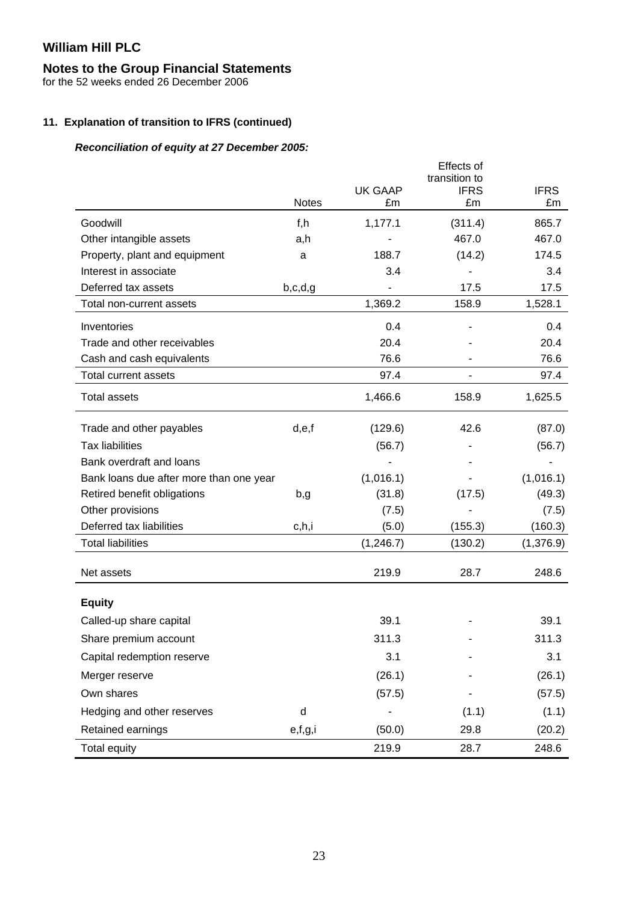# **Notes to the Group Financial Statements**

for the 52 weeks ended 26 December 2006

# **11. Explanation of transition to IFRS (continued)**

# *Reconciliation of equity at 27 December 2005:*

|                                         | <b>Notes</b> | <b>UK GAAP</b><br>£m | Effects of<br>transition to<br><b>IFRS</b><br>£m | <b>IFRS</b><br>£m |
|-----------------------------------------|--------------|----------------------|--------------------------------------------------|-------------------|
| Goodwill                                | f,h          | 1,177.1              | (311.4)                                          | 865.7             |
| Other intangible assets                 | a,h          |                      | 467.0                                            | 467.0             |
| Property, plant and equipment           | a            | 188.7                | (14.2)                                           | 174.5             |
| Interest in associate                   |              | 3.4                  |                                                  | 3.4               |
| Deferred tax assets                     | b,c,d,g      |                      | 17.5                                             | 17.5              |
| Total non-current assets                |              | 1,369.2              | 158.9                                            | 1,528.1           |
| Inventories                             |              | 0.4                  |                                                  | 0.4               |
| Trade and other receivables             |              | 20.4                 |                                                  | 20.4              |
| Cash and cash equivalents               |              | 76.6                 |                                                  | 76.6              |
| <b>Total current assets</b>             |              | 97.4                 |                                                  | 97.4              |
| <b>Total assets</b>                     |              | 1,466.6              | 158.9                                            | 1,625.5           |
| Trade and other payables                | d,e,f        | (129.6)              | 42.6                                             | (87.0)            |
| <b>Tax liabilities</b>                  |              | (56.7)               |                                                  | (56.7)            |
| Bank overdraft and loans                |              |                      |                                                  |                   |
| Bank loans due after more than one year |              | (1,016.1)            |                                                  | (1,016.1)         |
| Retired benefit obligations             | b,g          | (31.8)               | (17.5)                                           | (49.3)            |
| Other provisions                        |              | (7.5)                |                                                  | (7.5)             |
| Deferred tax liabilities                | c,h,i        | (5.0)                | (155.3)                                          | (160.3)           |
| <b>Total liabilities</b>                |              | (1, 246.7)           | (130.2)                                          | (1,376.9)         |
| Net assets                              |              | 219.9                | 28.7                                             | 248.6             |
| <b>Equity</b>                           |              |                      |                                                  |                   |
| Called-up share capital                 |              | 39.1                 |                                                  | 39.1              |
| Share premium account                   |              | 311.3                |                                                  | 311.3             |
| Capital redemption reserve              |              | 3.1                  |                                                  | 3.1               |
| Merger reserve                          |              | (26.1)               |                                                  | (26.1)            |
| Own shares                              |              | (57.5)               |                                                  | (57.5)            |
| Hedging and other reserves              | d            |                      | (1.1)                                            | (1.1)             |
| Retained earnings                       | e,f,g,i      | (50.0)               | 29.8                                             | (20.2)            |
| Total equity                            |              | 219.9                | 28.7                                             | 248.6             |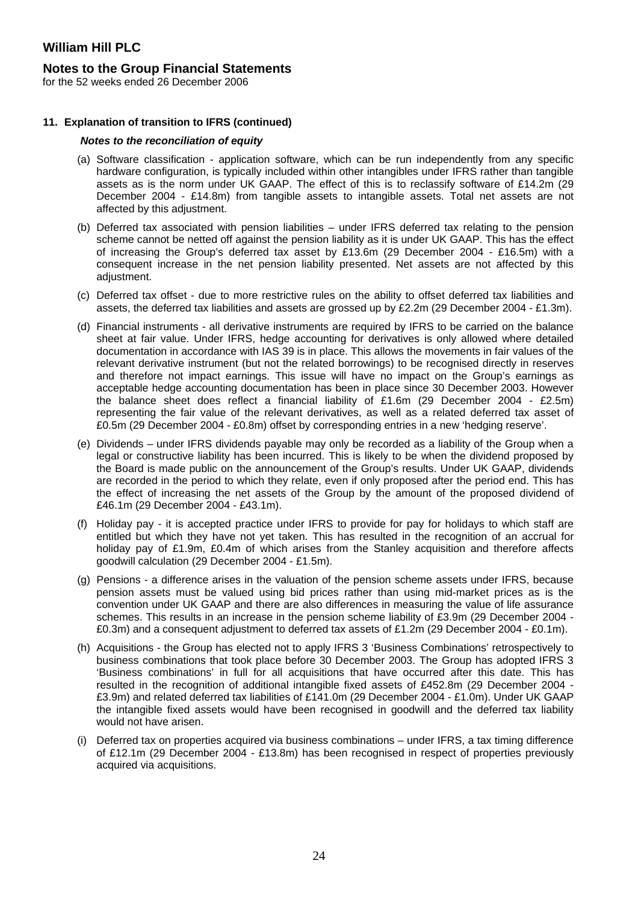### **Notes to the Group Financial Statements**

for the 52 weeks ended 26 December 2006

#### **11. Explanation of transition to IFRS (continued)**

#### *Notes to the reconciliation of equity*

- (a) Software classification application software, which can be run independently from any specific hardware configuration, is typically included within other intangibles under IFRS rather than tangible assets as is the norm under UK GAAP. The effect of this is to reclassify software of £14.2m (29 December 2004 - £14.8m) from tangible assets to intangible assets. Total net assets are not affected by this adjustment.
- (b) Deferred tax associated with pension liabilities under IFRS deferred tax relating to the pension scheme cannot be netted off against the pension liability as it is under UK GAAP. This has the effect of increasing the Group's deferred tax asset by £13.6m (29 December 2004 - £16.5m) with a consequent increase in the net pension liability presented. Net assets are not affected by this adjustment.
- (c) Deferred tax offset due to more restrictive rules on the ability to offset deferred tax liabilities and assets, the deferred tax liabilities and assets are grossed up by £2.2m (29 December 2004 - £1.3m).
- (d) Financial instruments all derivative instruments are required by IFRS to be carried on the balance sheet at fair value. Under IFRS, hedge accounting for derivatives is only allowed where detailed documentation in accordance with IAS 39 is in place. This allows the movements in fair values of the relevant derivative instrument (but not the related borrowings) to be recognised directly in reserves and therefore not impact earnings. This issue will have no impact on the Group's earnings as acceptable hedge accounting documentation has been in place since 30 December 2003. However the balance sheet does reflect a financial liability of £1.6m (29 December 2004 - £2.5m) representing the fair value of the relevant derivatives, as well as a related deferred tax asset of £0.5m (29 December 2004 - £0.8m) offset by corresponding entries in a new 'hedging reserve'.
- (e) Dividends under IFRS dividends payable may only be recorded as a liability of the Group when a legal or constructive liability has been incurred. This is likely to be when the dividend proposed by the Board is made public on the announcement of the Group's results. Under UK GAAP, dividends are recorded in the period to which they relate, even if only proposed after the period end. This has the effect of increasing the net assets of the Group by the amount of the proposed dividend of £46.1m (29 December 2004 - £43.1m).
- (f) Holiday pay it is accepted practice under IFRS to provide for pay for holidays to which staff are entitled but which they have not yet taken. This has resulted in the recognition of an accrual for holiday pay of £1.9m, £0.4m of which arises from the Stanley acquisition and therefore affects goodwill calculation (29 December 2004 - £1.5m).
- (g) Pensions a difference arises in the valuation of the pension scheme assets under IFRS, because pension assets must be valued using bid prices rather than using mid-market prices as is the convention under UK GAAP and there are also differences in measuring the value of life assurance schemes. This results in an increase in the pension scheme liability of £3.9m (29 December 2004 - £0.3m) and a consequent adjustment to deferred tax assets of £1.2m (29 December 2004 - £0.1m).
- (h) Acquisitions the Group has elected not to apply IFRS 3 'Business Combinations' retrospectively to business combinations that took place before 30 December 2003. The Group has adopted IFRS 3 'Business combinations' in full for all acquisitions that have occurred after this date. This has resulted in the recognition of additional intangible fixed assets of £452.8m (29 December 2004 - £3.9m) and related deferred tax liabilities of £141.0m (29 December 2004 - £1.0m). Under UK GAAP the intangible fixed assets would have been recognised in goodwill and the deferred tax liability would not have arisen.
- (i) Deferred tax on properties acquired via business combinations under IFRS, a tax timing difference of £12.1m (29 December 2004 - £13.8m) has been recognised in respect of properties previously acquired via acquisitions.